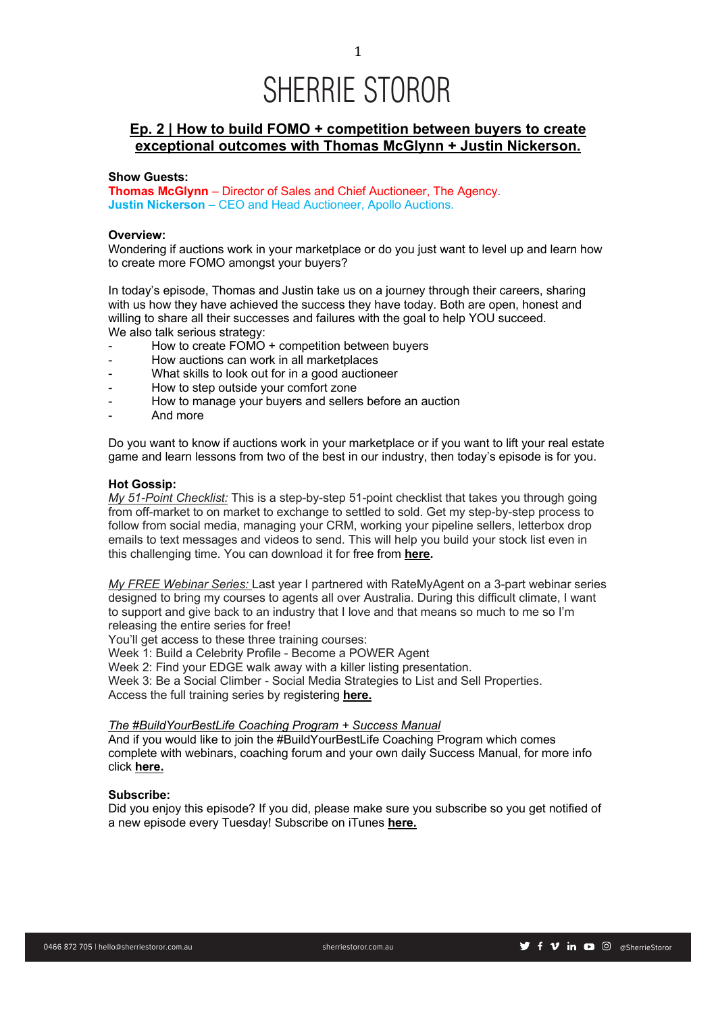# **Ep. 2 | How to build FOMO + competition between buyers to create exceptional outcomes with Thomas McGlynn + Justin Nickerson.**

# **Show Guests:**

**Thomas McGlynn** – Director of Sales and Chief Auctioneer, The Agency. **Justin Nickerson** – CEO and Head Auctioneer, Apollo Auctions.

# **Overview:**

Wondering if auctions work in your marketplace or do you just want to level up and learn how to create more FOMO amongst your buyers?

In today's episode, Thomas and Justin take us on a journey through their careers, sharing with us how they have achieved the success they have today. Both are open, honest and willing to share all their successes and failures with the goal to help YOU succeed. We also talk serious strategy:

- How to create FOMO + competition between buyers
- How auctions can work in all marketplaces
- What skills to look out for in a good auctioneer
- How to step outside your comfort zone
- How to manage your buyers and sellers before an auction
- And more

Do you want to know if auctions work in your marketplace or if you want to lift your real estate game and learn lessons from two of the best in our industry, then today's episode is for you.

### **Hot Gossip:**

*My 51-Point Checklist:* This is a step-by-step 51-point checklist that takes you through going from off-market to on market to exchange to settled to sold. Get my step-by-step process to follow from social media, managing your CRM, working your pipeline sellers, letterbox drop emails to text messages and videos to send. This will help you build your stock list even in this challenging time. You can download it for free from **here.**

*My FREE Webinar Series:* Last year I partnered with RateMyAgent on a 3-part webinar series designed to bring my courses to agents all over Australia. During this difficult climate, I want to support and give back to an industry that I love and that means so much to me so I'm releasing the entire series for free!

You'll get access to these three training courses:

Week 1: Build a Celebrity Profile - Become a POWER Agent

Week 2: Find your EDGE walk away with a killer listing presentation.

Week 3: Be a Social Climber - Social Media Strategies to List and Sell Properties.

Access the full training series by registering **here.**

### *The #BuildYourBestLife Coaching Program + Success Manual*

And if you would like to join the #BuildYourBestLife Coaching Program which comes complete with webinars, coaching forum and your own daily Success Manual, for more info click **here.**

# **Subscribe:**

Did you enjoy this episode? If you did, please make sure you subscribe so you get notified of a new episode every Tuesday! Subscribe on iTunes **here.**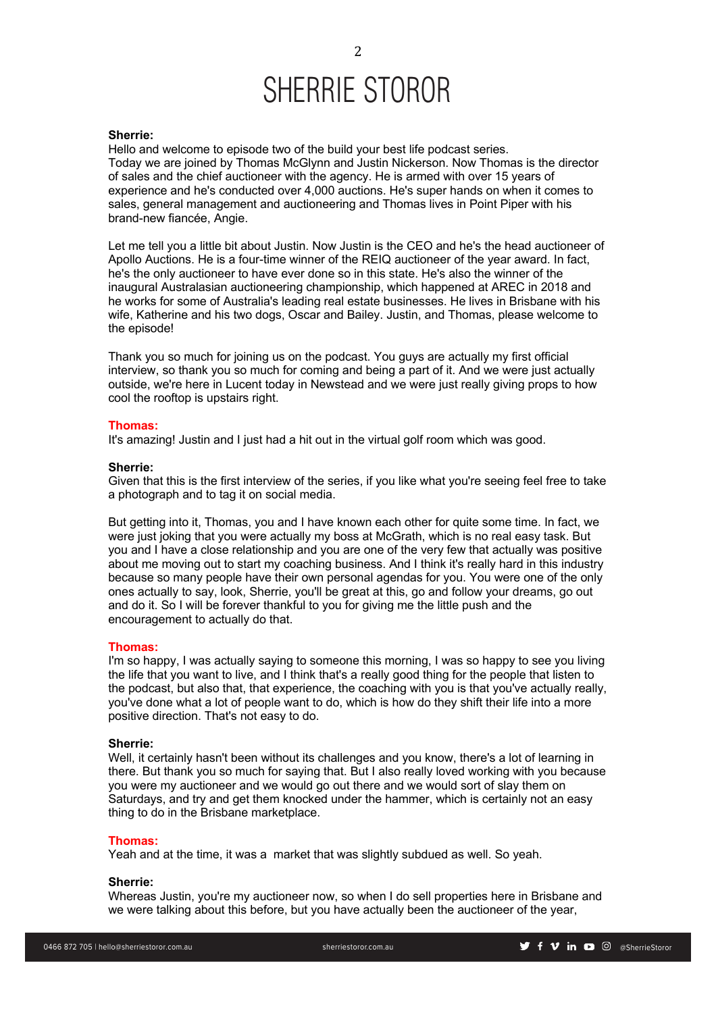### **Sherrie:**

Hello and welcome to episode two of the build your best life podcast series. Today we are joined by Thomas McGlynn and Justin Nickerson. Now Thomas is the director of sales and the chief auctioneer with the agency. He is armed with over 15 years of experience and he's conducted over 4,000 auctions. He's super hands on when it comes to sales, general management and auctioneering and Thomas lives in Point Piper with his brand-new fiancée, Angie.

Let me tell you a little bit about Justin. Now Justin is the CEO and he's the head auctioneer of Apollo Auctions. He is a four-time winner of the REIQ auctioneer of the year award. In fact, he's the only auctioneer to have ever done so in this state. He's also the winner of the inaugural Australasian auctioneering championship, which happened at AREC in 2018 and he works for some of Australia's leading real estate businesses. He lives in Brisbane with his wife, Katherine and his two dogs, Oscar and Bailey. Justin, and Thomas, please welcome to the episode!

Thank you so much for joining us on the podcast. You guys are actually my first official interview, so thank you so much for coming and being a part of it. And we were just actually outside, we're here in Lucent today in Newstead and we were just really giving props to how cool the rooftop is upstairs right.

### **Thomas:**

It's amazing! Justin and I just had a hit out in the virtual golf room which was good.

### **Sherrie:**

Given that this is the first interview of the series, if you like what you're seeing feel free to take a photograph and to tag it on social media.

But getting into it, Thomas, you and I have known each other for quite some time. In fact, we were just joking that you were actually my boss at McGrath, which is no real easy task. But you and I have a close relationship and you are one of the very few that actually was positive about me moving out to start my coaching business. And I think it's really hard in this industry because so many people have their own personal agendas for you. You were one of the only ones actually to say, look, Sherrie, you'll be great at this, go and follow your dreams, go out and do it. So I will be forever thankful to you for giving me the little push and the encouragement to actually do that.

### **Thomas:**

I'm so happy, I was actually saying to someone this morning, I was so happy to see you living the life that you want to live, and I think that's a really good thing for the people that listen to the podcast, but also that, that experience, the coaching with you is that you've actually really, you've done what a lot of people want to do, which is how do they shift their life into a more positive direction. That's not easy to do.

### **Sherrie:**

Well, it certainly hasn't been without its challenges and you know, there's a lot of learning in there. But thank you so much for saying that. But I also really loved working with you because you were my auctioneer and we would go out there and we would sort of slay them on Saturdays, and try and get them knocked under the hammer, which is certainly not an easy thing to do in the Brisbane marketplace.

### **Thomas:**

Yeah and at the time, it was a market that was slightly subdued as well. So yeah.

## **Sherrie:**

Whereas Justin, you're my auctioneer now, so when I do sell properties here in Brisbane and we were talking about this before, but you have actually been the auctioneer of the year,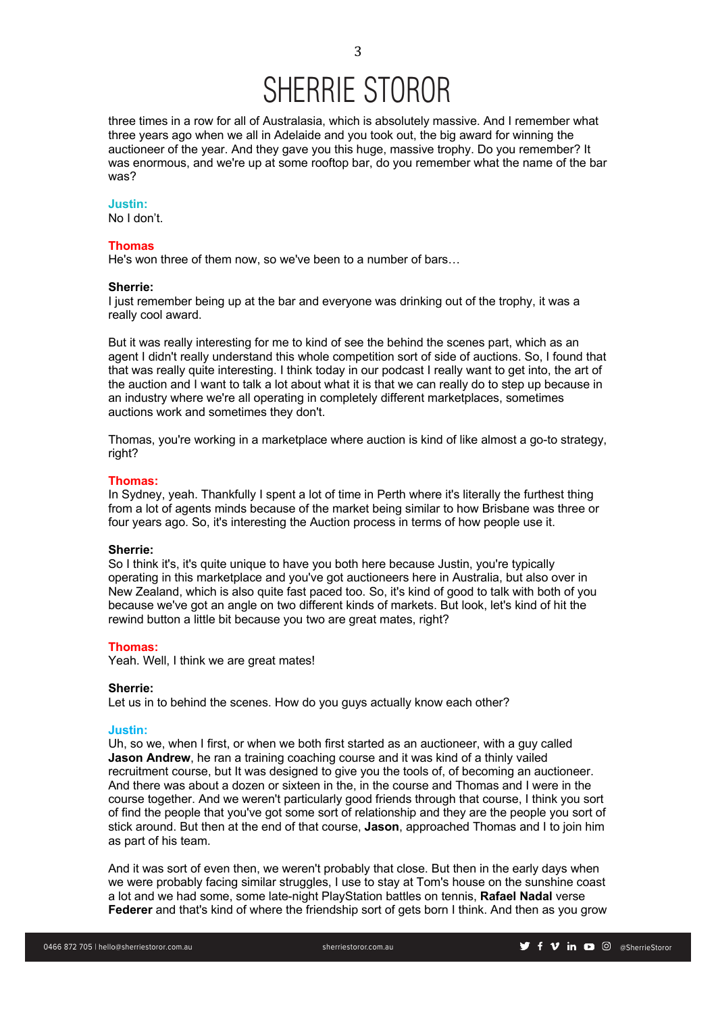three times in a row for all of Australasia, which is absolutely massive. And I remember what three years ago when we all in Adelaide and you took out, the big award for winning the auctioneer of the year. And they gave you this huge, massive trophy. Do you remember? It was enormous, and we're up at some rooftop bar, do you remember what the name of the bar was?

# **Justin:**

No I don't.

# **Thomas**

He's won three of them now, so we've been to a number of bars…

# **Sherrie:**

I just remember being up at the bar and everyone was drinking out of the trophy, it was a really cool award.

But it was really interesting for me to kind of see the behind the scenes part, which as an agent I didn't really understand this whole competition sort of side of auctions. So, I found that that was really quite interesting. I think today in our podcast I really want to get into, the art of the auction and I want to talk a lot about what it is that we can really do to step up because in an industry where we're all operating in completely different marketplaces, sometimes auctions work and sometimes they don't.

Thomas, you're working in a marketplace where auction is kind of like almost a go-to strategy, right?

## **Thomas:**

In Sydney, yeah. Thankfully I spent a lot of time in Perth where it's literally the furthest thing from a lot of agents minds because of the market being similar to how Brisbane was three or four years ago. So, it's interesting the Auction process in terms of how people use it.

### **Sherrie:**

So I think it's, it's quite unique to have you both here because Justin, you're typically operating in this marketplace and you've got auctioneers here in Australia, but also over in New Zealand, which is also quite fast paced too. So, it's kind of good to talk with both of you because we've got an angle on two different kinds of markets. But look, let's kind of hit the rewind button a little bit because you two are great mates, right?

# **Thomas:**

Yeah. Well, I think we are great mates!

### **Sherrie:**

Let us in to behind the scenes. How do you guys actually know each other?

# **Justin:**

Uh, so we, when I first, or when we both first started as an auctioneer, with a guy called **Jason Andrew**, he ran a training coaching course and it was kind of a thinly vailed recruitment course, but It was designed to give you the tools of, of becoming an auctioneer. And there was about a dozen or sixteen in the, in the course and Thomas and I were in the course together. And we weren't particularly good friends through that course, I think you sort of find the people that you've got some sort of relationship and they are the people you sort of stick around. But then at the end of that course, **Jason**, approached Thomas and I to join him as part of his team.

And it was sort of even then, we weren't probably that close. But then in the early days when we were probably facing similar struggles, I use to stay at Tom's house on the sunshine coast a lot and we had some, some late-night PlayStation battles on tennis, **Rafael Nadal** verse **Federer** and that's kind of where the friendship sort of gets born I think. And then as you grow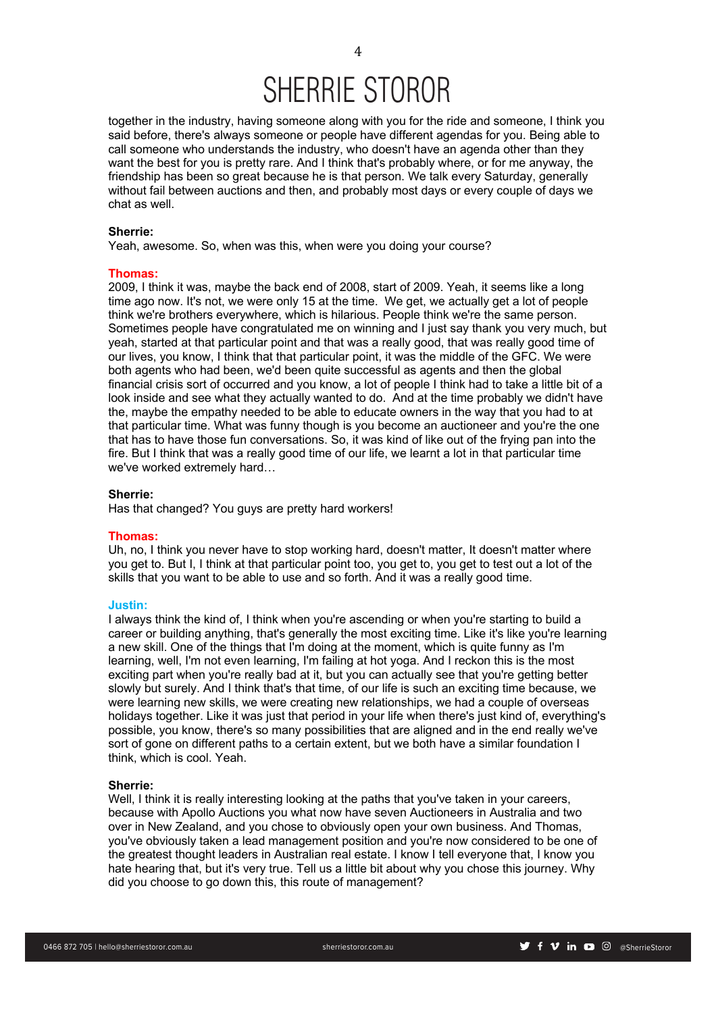together in the industry, having someone along with you for the ride and someone, I think you said before, there's always someone or people have different agendas for you. Being able to call someone who understands the industry, who doesn't have an agenda other than they want the best for you is pretty rare. And I think that's probably where, or for me anyway, the friendship has been so great because he is that person. We talk every Saturday, generally without fail between auctions and then, and probably most days or every couple of days we chat as well.

# **Sherrie:**

Yeah, awesome. So, when was this, when were you doing your course?

### **Thomas:**

2009, I think it was, maybe the back end of 2008, start of 2009. Yeah, it seems like a long time ago now. It's not, we were only 15 at the time. We get, we actually get a lot of people think we're brothers everywhere, which is hilarious. People think we're the same person. Sometimes people have congratulated me on winning and I just say thank you very much, but yeah, started at that particular point and that was a really good, that was really good time of our lives, you know, I think that that particular point, it was the middle of the GFC. We were both agents who had been, we'd been quite successful as agents and then the global financial crisis sort of occurred and you know, a lot of people I think had to take a little bit of a look inside and see what they actually wanted to do. And at the time probably we didn't have the, maybe the empathy needed to be able to educate owners in the way that you had to at that particular time. What was funny though is you become an auctioneer and you're the one that has to have those fun conversations. So, it was kind of like out of the frying pan into the fire. But I think that was a really good time of our life, we learnt a lot in that particular time we've worked extremely hard…

# **Sherrie:**

Has that changed? You guys are pretty hard workers!

# **Thomas:**

Uh, no, I think you never have to stop working hard, doesn't matter, It doesn't matter where you get to. But I, I think at that particular point too, you get to, you get to test out a lot of the skills that you want to be able to use and so forth. And it was a really good time.

## **Justin:**

I always think the kind of, I think when you're ascending or when you're starting to build a career or building anything, that's generally the most exciting time. Like it's like you're learning a new skill. One of the things that I'm doing at the moment, which is quite funny as I'm learning, well, I'm not even learning, I'm failing at hot yoga. And I reckon this is the most exciting part when you're really bad at it, but you can actually see that you're getting better slowly but surely. And I think that's that time, of our life is such an exciting time because, we were learning new skills, we were creating new relationships, we had a couple of overseas holidays together. Like it was just that period in your life when there's just kind of, everything's possible, you know, there's so many possibilities that are aligned and in the end really we've sort of gone on different paths to a certain extent, but we both have a similar foundation I think, which is cool. Yeah.

### **Sherrie:**

Well, I think it is really interesting looking at the paths that you've taken in your careers, because with Apollo Auctions you what now have seven Auctioneers in Australia and two over in New Zealand, and you chose to obviously open your own business. And Thomas, you've obviously taken a lead management position and you're now considered to be one of the greatest thought leaders in Australian real estate. I know I tell everyone that, I know you hate hearing that, but it's very true. Tell us a little bit about why you chose this journey. Why did you choose to go down this, this route of management?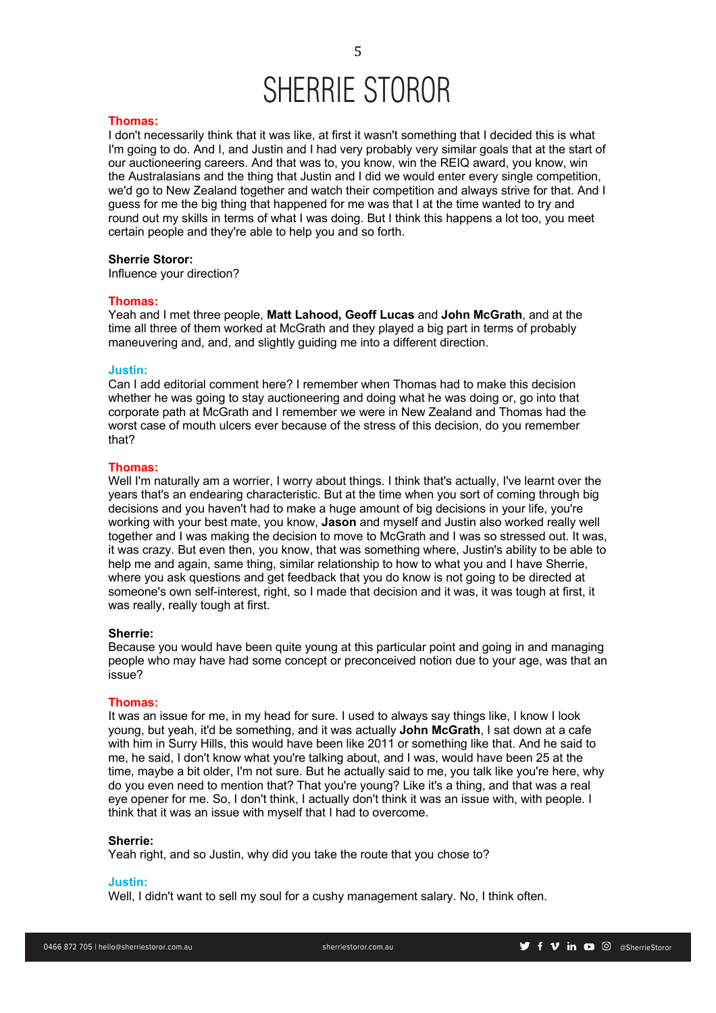### **Thomas:**

I don't necessarily think that it was like, at first it wasn't something that I decided this is what I'm going to do. And I, and Justin and I had very probably very similar goals that at the start of our auctioneering careers. And that was to, you know, win the REIQ award, you know, win the Australasians and the thing that Justin and I did we would enter every single competition, we'd go to New Zealand together and watch their competition and always strive for that. And I guess for me the big thing that happened for me was that I at the time wanted to try and round out my skills in terms of what I was doing. But I think this happens a lot too, you meet certain people and they're able to help you and so forth.

### **Sherrie Storor:**

Influence your direction?

### **Thomas:**

Yeah and I met three people, **Matt Lahood, Geoff Lucas** and **John McGrath**, and at the time all three of them worked at McGrath and they played a big part in terms of probably maneuvering and, and, and slightly guiding me into a different direction.

### **Justin:**

Can I add editorial comment here? I remember when Thomas had to make this decision whether he was going to stay auctioneering and doing what he was doing or, go into that corporate path at McGrath and I remember we were in New Zealand and Thomas had the worst case of mouth ulcers ever because of the stress of this decision, do you remember that?

# **Thomas:**

Well I'm naturally am a worrier, I worry about things. I think that's actually, I've learnt over the years that's an endearing characteristic. But at the time when you sort of coming through big decisions and you haven't had to make a huge amount of big decisions in your life, you're working with your best mate, you know, **Jason** and myself and Justin also worked really well together and I was making the decision to move to McGrath and I was so stressed out. It was, it was crazy. But even then, you know, that was something where, Justin's ability to be able to help me and again, same thing, similar relationship to how to what you and I have Sherrie, where you ask questions and get feedback that you do know is not going to be directed at someone's own self-interest, right, so I made that decision and it was, it was tough at first, it was really, really tough at first.

# **Sherrie:**

Because you would have been quite young at this particular point and going in and managing people who may have had some concept or preconceived notion due to your age, was that an issue?

### **Thomas:**

It was an issue for me, in my head for sure. I used to always say things like, I know I look young, but yeah, it'd be something, and it was actually **John McGrath**, I sat down at a cafe with him in Surry Hills, this would have been like 2011 or something like that. And he said to me, he said, I don't know what you're talking about, and I was, would have been 25 at the time, maybe a bit older, I'm not sure. But he actually said to me, you talk like you're here, why do you even need to mention that? That you're young? Like it's a thing, and that was a real eye opener for me. So, I don't think, I actually don't think it was an issue with, with people. I think that it was an issue with myself that I had to overcome.

### **Sherrie:**

Yeah right, and so Justin, why did you take the route that you chose to?

### **Justin:**

Well, I didn't want to sell my soul for a cushy management salary. No, I think often.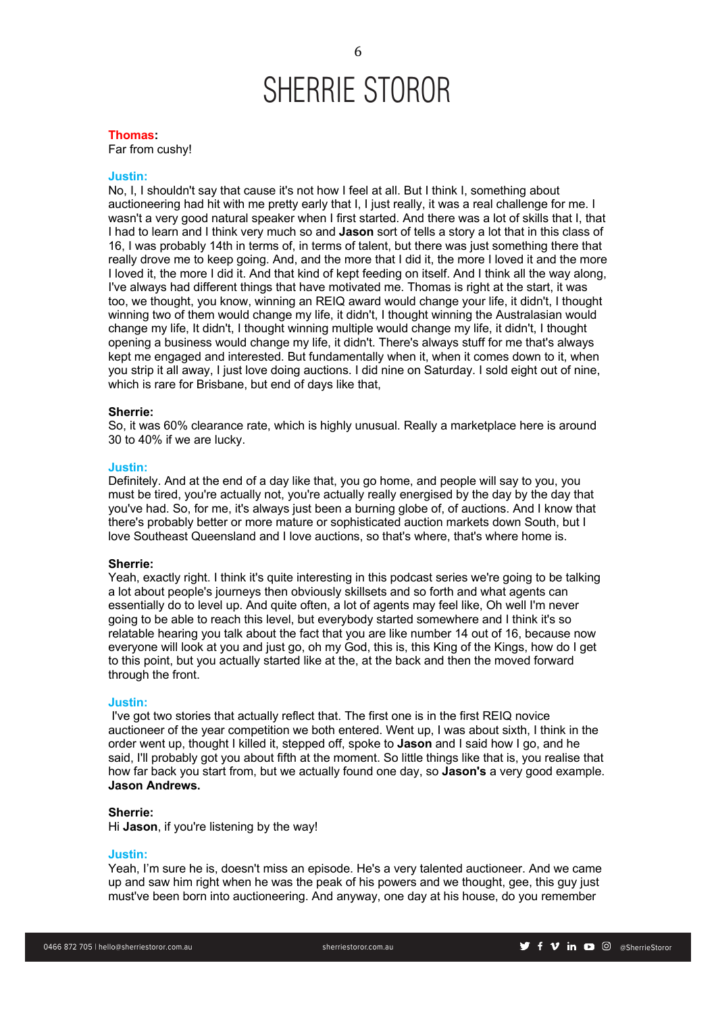### **Thomas:**

Far from cushy!

# **Justin:**

No, I, I shouldn't say that cause it's not how I feel at all. But I think I, something about auctioneering had hit with me pretty early that I, I just really, it was a real challenge for me. I wasn't a very good natural speaker when I first started. And there was a lot of skills that I, that I had to learn and I think very much so and **Jason** sort of tells a story a lot that in this class of 16, I was probably 14th in terms of, in terms of talent, but there was just something there that really drove me to keep going. And, and the more that I did it, the more I loved it and the more I loved it, the more I did it. And that kind of kept feeding on itself. And I think all the way along, I've always had different things that have motivated me. Thomas is right at the start, it was too, we thought, you know, winning an REIQ award would change your life, it didn't, I thought winning two of them would change my life, it didn't, I thought winning the Australasian would change my life, It didn't, I thought winning multiple would change my life, it didn't, I thought opening a business would change my life, it didn't. There's always stuff for me that's always kept me engaged and interested. But fundamentally when it, when it comes down to it, when you strip it all away, I just love doing auctions. I did nine on Saturday. I sold eight out of nine, which is rare for Brisbane, but end of days like that,

### **Sherrie:**

So, it was 60% clearance rate, which is highly unusual. Really a marketplace here is around 30 to 40% if we are lucky.

# **Justin:**

Definitely. And at the end of a day like that, you go home, and people will say to you, you must be tired, you're actually not, you're actually really energised by the day by the day that you've had. So, for me, it's always just been a burning globe of, of auctions. And I know that there's probably better or more mature or sophisticated auction markets down South, but I love Southeast Queensland and I love auctions, so that's where, that's where home is.

### **Sherrie:**

Yeah, exactly right. I think it's quite interesting in this podcast series we're going to be talking a lot about people's journeys then obviously skillsets and so forth and what agents can essentially do to level up. And quite often, a lot of agents may feel like, Oh well I'm never going to be able to reach this level, but everybody started somewhere and I think it's so relatable hearing you talk about the fact that you are like number 14 out of 16, because now everyone will look at you and just go, oh my God, this is, this King of the Kings, how do I get to this point, but you actually started like at the, at the back and then the moved forward through the front.

### **Justin:**

I've got two stories that actually reflect that. The first one is in the first REIQ novice auctioneer of the year competition we both entered. Went up, I was about sixth, I think in the order went up, thought I killed it, stepped off, spoke to **Jason** and I said how I go, and he said, I'll probably got you about fifth at the moment. So little things like that is, you realise that how far back you start from, but we actually found one day, so **Jason's** a very good example. **Jason Andrews.**

### **Sherrie:**

Hi **Jason**, if you're listening by the way!

### **Justin:**

Yeah, I'm sure he is, doesn't miss an episode. He's a very talented auctioneer. And we came up and saw him right when he was the peak of his powers and we thought, gee, this guy just must've been born into auctioneering. And anyway, one day at his house, do you remember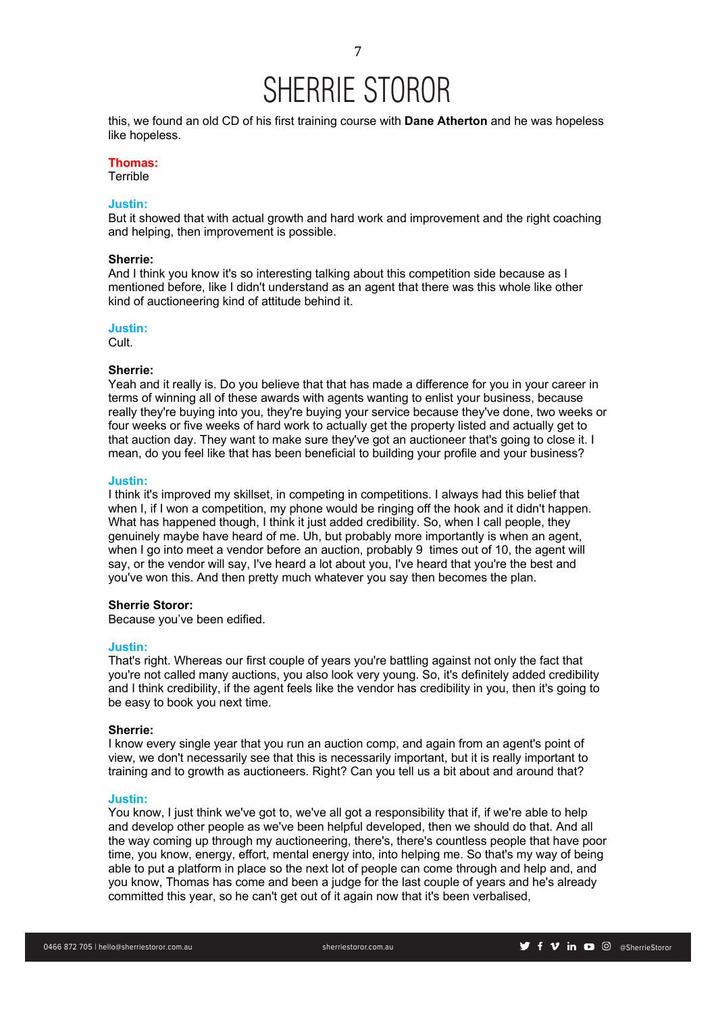this, we found an old CD of his first training course with **Dane Atherton** and he was hopeless like hopeless.

# **Thomas:**

**Terrible** 

# **Justin:**

But it showed that with actual growth and hard work and improvement and the right coaching and helping, then improvement is possible.

### **Sherrie:**

And I think you know it's so interesting talking about this competition side because as I mentioned before, like I didn't understand as an agent that there was this whole like other kind of auctioneering kind of attitude behind it.

# **Justin:**

Cult.

# **Sherrie:**

Yeah and it really is. Do you believe that that has made a difference for you in your career in terms of winning all of these awards with agents wanting to enlist your business, because really they're buying into you, they're buying your service because they've done, two weeks or four weeks or five weeks of hard work to actually get the property listed and actually get to that auction day. They want to make sure they've got an auctioneer that's going to close it. I mean, do you feel like that has been beneficial to building your profile and your business?

# **Justin:**

I think it's improved my skillset, in competing in competitions. I always had this belief that when I, if I won a competition, my phone would be ringing off the hook and it didn't happen. What has happened though, I think it just added credibility. So, when I call people, they genuinely maybe have heard of me. Uh, but probably more importantly is when an agent, when I go into meet a vendor before an auction, probably 9 times out of 10, the agent will say, or the vendor will say, I've heard a lot about you, I've heard that you're the best and you've won this. And then pretty much whatever you say then becomes the plan.

## **Sherrie Storor:**

Because you've been edified.

### **Justin:**

That's right. Whereas our first couple of years you're battling against not only the fact that you're not called many auctions, you also look very young. So, it's definitely added credibility and I think credibility, if the agent feels like the vendor has credibility in you, then it's going to be easy to book you next time.

### **Sherrie:**

I know every single year that you run an auction comp, and again from an agent's point of view, we don't necessarily see that this is necessarily important, but it is really important to training and to growth as auctioneers. Right? Can you tell us a bit about and around that?

### **Justin:**

You know, I just think we've got to, we've all got a responsibility that if, if we're able to help and develop other people as we've been helpful developed, then we should do that. And all the way coming up through my auctioneering, there's, there's countless people that have poor time, you know, energy, effort, mental energy into, into helping me. So that's my way of being able to put a platform in place so the next lot of people can come through and help and, and you know, Thomas has come and been a judge for the last couple of years and he's already committed this year, so he can't get out of it again now that it's been verbalised,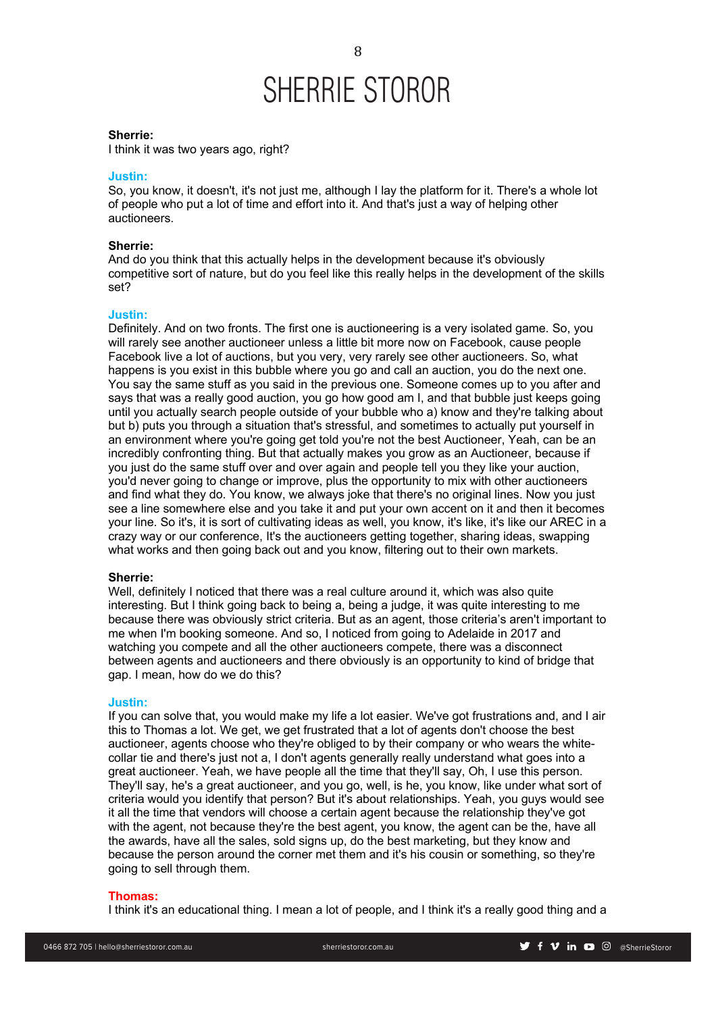### **Sherrie:**

I think it was two years ago, right?

# **Justin:**

So, you know, it doesn't, it's not just me, although I lay the platform for it. There's a whole lot of people who put a lot of time and effort into it. And that's just a way of helping other auctioneers.

# **Sherrie:**

And do you think that this actually helps in the development because it's obviously competitive sort of nature, but do you feel like this really helps in the development of the skills set?

### **Justin:**

Definitely. And on two fronts. The first one is auctioneering is a very isolated game. So, you will rarely see another auctioneer unless a little bit more now on Facebook, cause people Facebook live a lot of auctions, but you very, very rarely see other auctioneers. So, what happens is you exist in this bubble where you go and call an auction, you do the next one. You say the same stuff as you said in the previous one. Someone comes up to you after and says that was a really good auction, you go how good am I, and that bubble just keeps going until you actually search people outside of your bubble who a) know and they're talking about but b) puts you through a situation that's stressful, and sometimes to actually put yourself in an environment where you're going get told you're not the best Auctioneer, Yeah, can be an incredibly confronting thing. But that actually makes you grow as an Auctioneer, because if you just do the same stuff over and over again and people tell you they like your auction, you'd never going to change or improve, plus the opportunity to mix with other auctioneers and find what they do. You know, we always joke that there's no original lines. Now you just see a line somewhere else and you take it and put your own accent on it and then it becomes your line. So it's, it is sort of cultivating ideas as well, you know, it's like, it's like our AREC in a crazy way or our conference, It's the auctioneers getting together, sharing ideas, swapping what works and then going back out and you know, filtering out to their own markets.

### **Sherrie:**

Well, definitely I noticed that there was a real culture around it, which was also quite interesting. But I think going back to being a, being a judge, it was quite interesting to me because there was obviously strict criteria. But as an agent, those criteria's aren't important to me when I'm booking someone. And so, I noticed from going to Adelaide in 2017 and watching you compete and all the other auctioneers compete, there was a disconnect between agents and auctioneers and there obviously is an opportunity to kind of bridge that gap. I mean, how do we do this?

# **Justin:**

If you can solve that, you would make my life a lot easier. We've got frustrations and, and I air this to Thomas a lot. We get, we get frustrated that a lot of agents don't choose the best auctioneer, agents choose who they're obliged to by their company or who wears the whitecollar tie and there's just not a, I don't agents generally really understand what goes into a great auctioneer. Yeah, we have people all the time that they'll say, Oh, I use this person. They'll say, he's a great auctioneer, and you go, well, is he, you know, like under what sort of criteria would you identify that person? But it's about relationships. Yeah, you guys would see it all the time that vendors will choose a certain agent because the relationship they've got with the agent, not because they're the best agent, you know, the agent can be the, have all the awards, have all the sales, sold signs up, do the best marketing, but they know and because the person around the corner met them and it's his cousin or something, so they're going to sell through them.

### **Thomas:**

I think it's an educational thing. I mean a lot of people, and I think it's a really good thing and a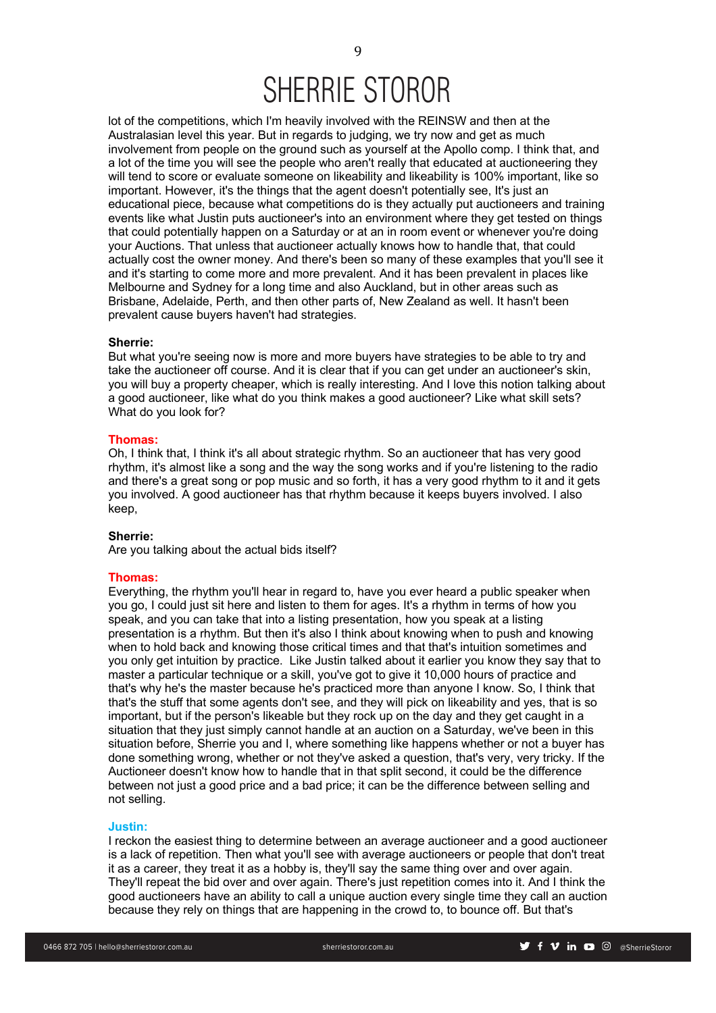lot of the competitions, which I'm heavily involved with the REINSW and then at the Australasian level this year. But in regards to judging, we try now and get as much involvement from people on the ground such as yourself at the Apollo comp. I think that, and a lot of the time you will see the people who aren't really that educated at auctioneering they will tend to score or evaluate someone on likeability and likeability is 100% important, like so important. However, it's the things that the agent doesn't potentially see, It's just an educational piece, because what competitions do is they actually put auctioneers and training events like what Justin puts auctioneer's into an environment where they get tested on things that could potentially happen on a Saturday or at an in room event or whenever you're doing your Auctions. That unless that auctioneer actually knows how to handle that, that could actually cost the owner money. And there's been so many of these examples that you'll see it and it's starting to come more and more prevalent. And it has been prevalent in places like Melbourne and Sydney for a long time and also Auckland, but in other areas such as Brisbane, Adelaide, Perth, and then other parts of, New Zealand as well. It hasn't been prevalent cause buyers haven't had strategies.

## **Sherrie:**

But what you're seeing now is more and more buyers have strategies to be able to try and take the auctioneer off course. And it is clear that if you can get under an auctioneer's skin, you will buy a property cheaper, which is really interesting. And I love this notion talking about a good auctioneer, like what do you think makes a good auctioneer? Like what skill sets? What do you look for?

# **Thomas:**

Oh, I think that, I think it's all about strategic rhythm. So an auctioneer that has very good rhythm, it's almost like a song and the way the song works and if you're listening to the radio and there's a great song or pop music and so forth, it has a very good rhythm to it and it gets you involved. A good auctioneer has that rhythm because it keeps buyers involved. I also keep,

# **Sherrie:**

Are you talking about the actual bids itself?

# **Thomas:**

Everything, the rhythm you'll hear in regard to, have you ever heard a public speaker when you go, I could just sit here and listen to them for ages. It's a rhythm in terms of how you speak, and you can take that into a listing presentation, how you speak at a listing presentation is a rhythm. But then it's also I think about knowing when to push and knowing when to hold back and knowing those critical times and that that's intuition sometimes and you only get intuition by practice. Like Justin talked about it earlier you know they say that to master a particular technique or a skill, you've got to give it 10,000 hours of practice and that's why he's the master because he's practiced more than anyone I know. So, I think that that's the stuff that some agents don't see, and they will pick on likeability and yes, that is so important, but if the person's likeable but they rock up on the day and they get caught in a situation that they just simply cannot handle at an auction on a Saturday, we've been in this situation before, Sherrie you and I, where something like happens whether or not a buyer has done something wrong, whether or not they've asked a question, that's very, very tricky. If the Auctioneer doesn't know how to handle that in that split second, it could be the difference between not just a good price and a bad price; it can be the difference between selling and not selling.

### **Justin:**

I reckon the easiest thing to determine between an average auctioneer and a good auctioneer is a lack of repetition. Then what you'll see with average auctioneers or people that don't treat it as a career, they treat it as a hobby is, they'll say the same thing over and over again. They'll repeat the bid over and over again. There's just repetition comes into it. And I think the good auctioneers have an ability to call a unique auction every single time they call an auction because they rely on things that are happening in the crowd to, to bounce off. But that's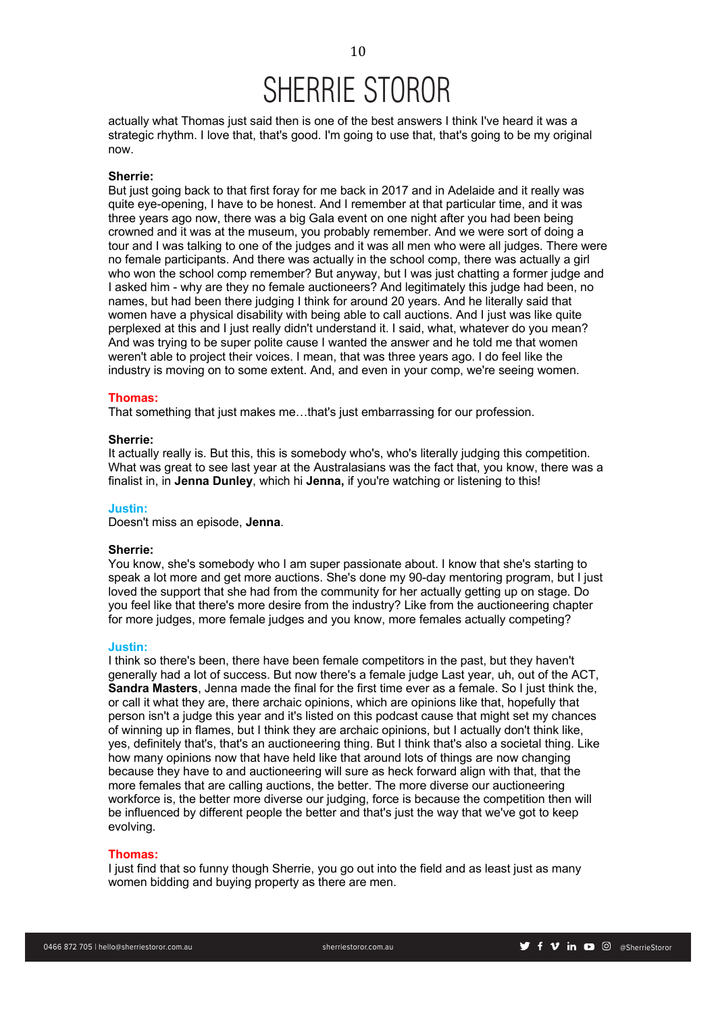actually what Thomas just said then is one of the best answers I think I've heard it was a strategic rhythm. I love that, that's good. I'm going to use that, that's going to be my original now.

### **Sherrie:**

But just going back to that first foray for me back in 2017 and in Adelaide and it really was quite eye-opening, I have to be honest. And I remember at that particular time, and it was three years ago now, there was a big Gala event on one night after you had been being crowned and it was at the museum, you probably remember. And we were sort of doing a tour and I was talking to one of the judges and it was all men who were all judges. There were no female participants. And there was actually in the school comp, there was actually a girl who won the school comp remember? But anyway, but I was just chatting a former judge and I asked him - why are they no female auctioneers? And legitimately this judge had been, no names, but had been there judging I think for around 20 years. And he literally said that women have a physical disability with being able to call auctions. And I just was like quite perplexed at this and I just really didn't understand it. I said, what, whatever do you mean? And was trying to be super polite cause I wanted the answer and he told me that women weren't able to project their voices. I mean, that was three years ago. I do feel like the industry is moving on to some extent. And, and even in your comp, we're seeing women.

### **Thomas:**

That something that just makes me…that's just embarrassing for our profession.

### **Sherrie:**

It actually really is. But this, this is somebody who's, who's literally judging this competition. What was great to see last year at the Australasians was the fact that, you know, there was a finalist in, in **Jenna Dunley**, which hi **Jenna,** if you're watching or listening to this!

### **Justin:**

Doesn't miss an episode, **Jenna**.

## **Sherrie:**

You know, she's somebody who I am super passionate about. I know that she's starting to speak a lot more and get more auctions. She's done my 90-day mentoring program, but I just loved the support that she had from the community for her actually getting up on stage. Do you feel like that there's more desire from the industry? Like from the auctioneering chapter for more judges, more female judges and you know, more females actually competing?

#### **Justin:**

I think so there's been, there have been female competitors in the past, but they haven't generally had a lot of success. But now there's a female judge Last year, uh, out of the ACT, **Sandra Masters**, Jenna made the final for the first time ever as a female. So I just think the, or call it what they are, there archaic opinions, which are opinions like that, hopefully that person isn't a judge this year and it's listed on this podcast cause that might set my chances of winning up in flames, but I think they are archaic opinions, but I actually don't think like, yes, definitely that's, that's an auctioneering thing. But I think that's also a societal thing. Like how many opinions now that have held like that around lots of things are now changing because they have to and auctioneering will sure as heck forward align with that, that the more females that are calling auctions, the better. The more diverse our auctioneering workforce is, the better more diverse our judging, force is because the competition then will be influenced by different people the better and that's just the way that we've got to keep evolving.

### **Thomas:**

I just find that so funny though Sherrie, you go out into the field and as least just as many women bidding and buying property as there are men.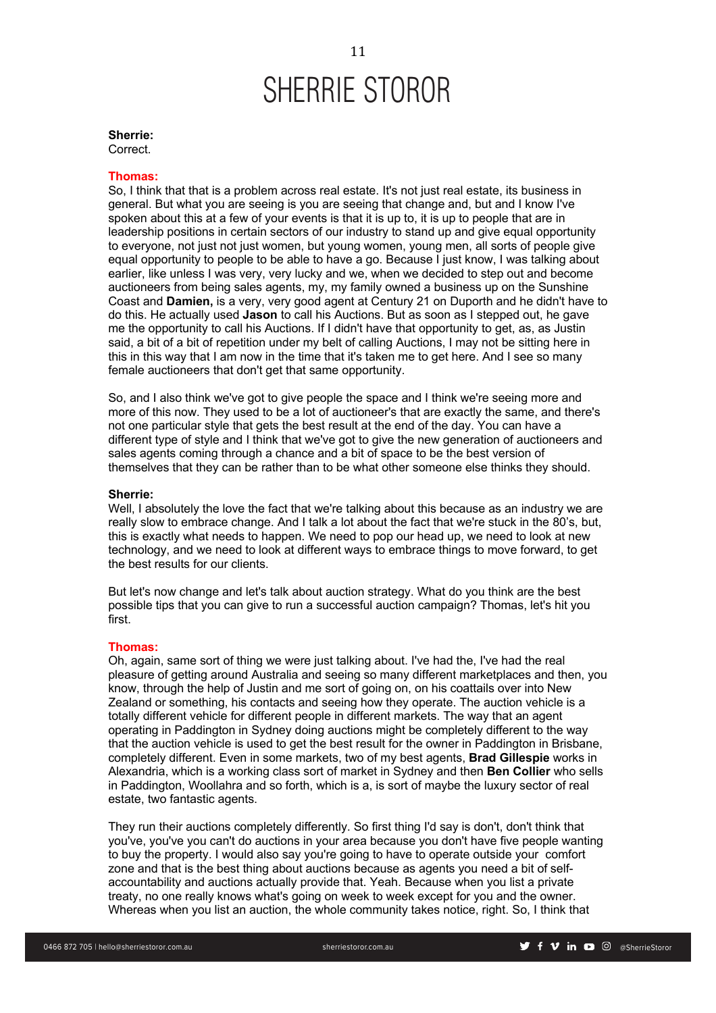# **Sherrie:**

Correct.

# **Thomas:**

So, I think that that is a problem across real estate. It's not just real estate, its business in general. But what you are seeing is you are seeing that change and, but and I know I've spoken about this at a few of your events is that it is up to, it is up to people that are in leadership positions in certain sectors of our industry to stand up and give equal opportunity to everyone, not just not just women, but young women, young men, all sorts of people give equal opportunity to people to be able to have a go. Because I just know, I was talking about earlier, like unless I was very, very lucky and we, when we decided to step out and become auctioneers from being sales agents, my, my family owned a business up on the Sunshine Coast and **Damien,** is a very, very good agent at Century 21 on Duporth and he didn't have to do this. He actually used **Jason** to call his Auctions. But as soon as I stepped out, he gave me the opportunity to call his Auctions. If I didn't have that opportunity to get, as, as Justin said, a bit of a bit of repetition under my belt of calling Auctions, I may not be sitting here in this in this way that I am now in the time that it's taken me to get here. And I see so many female auctioneers that don't get that same opportunity.

So, and I also think we've got to give people the space and I think we're seeing more and more of this now. They used to be a lot of auctioneer's that are exactly the same, and there's not one particular style that gets the best result at the end of the day. You can have a different type of style and I think that we've got to give the new generation of auctioneers and sales agents coming through a chance and a bit of space to be the best version of themselves that they can be rather than to be what other someone else thinks they should.

# **Sherrie:**

Well, I absolutely the love the fact that we're talking about this because as an industry we are really slow to embrace change. And I talk a lot about the fact that we're stuck in the 80's, but, this is exactly what needs to happen. We need to pop our head up, we need to look at new technology, and we need to look at different ways to embrace things to move forward, to get the best results for our clients.

But let's now change and let's talk about auction strategy. What do you think are the best possible tips that you can give to run a successful auction campaign? Thomas, let's hit you first.

### **Thomas:**

Oh, again, same sort of thing we were just talking about. I've had the, I've had the real pleasure of getting around Australia and seeing so many different marketplaces and then, you know, through the help of Justin and me sort of going on, on his coattails over into New Zealand or something, his contacts and seeing how they operate. The auction vehicle is a totally different vehicle for different people in different markets. The way that an agent operating in Paddington in Sydney doing auctions might be completely different to the way that the auction vehicle is used to get the best result for the owner in Paddington in Brisbane, completely different. Even in some markets, two of my best agents, **Brad Gillespie** works in Alexandria, which is a working class sort of market in Sydney and then **Ben Collier** who sells in Paddington, Woollahra and so forth, which is a, is sort of maybe the luxury sector of real estate, two fantastic agents.

They run their auctions completely differently. So first thing I'd say is don't, don't think that you've, you've you can't do auctions in your area because you don't have five people wanting to buy the property. I would also say you're going to have to operate outside your comfort zone and that is the best thing about auctions because as agents you need a bit of selfaccountability and auctions actually provide that. Yeah. Because when you list a private treaty, no one really knows what's going on week to week except for you and the owner. Whereas when you list an auction, the whole community takes notice, right. So, I think that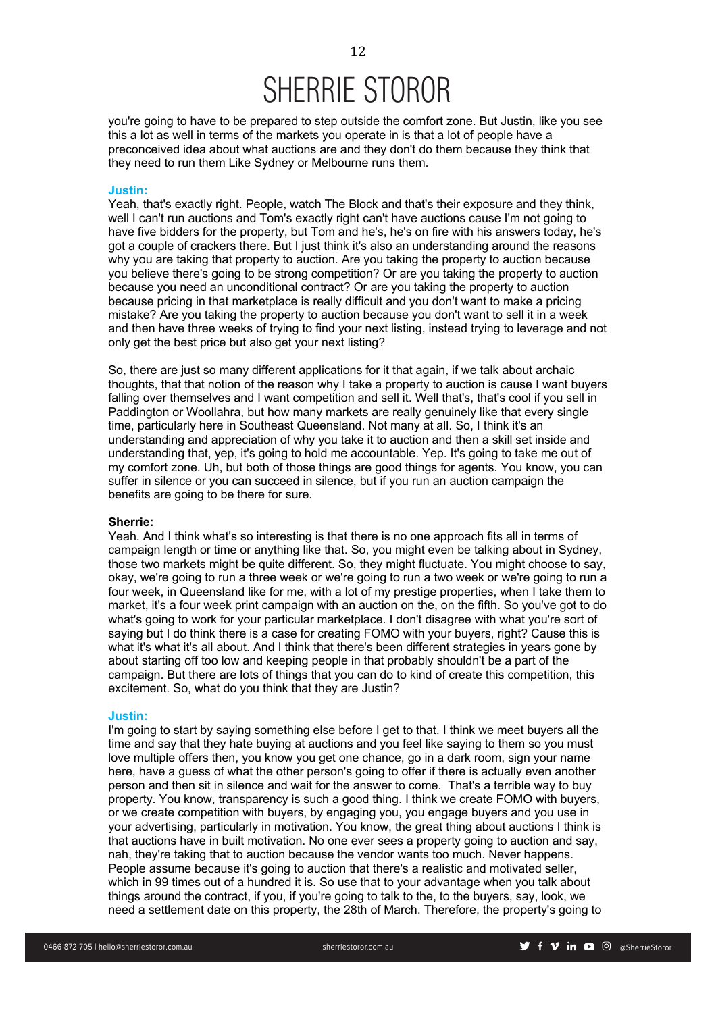you're going to have to be prepared to step outside the comfort zone. But Justin, like you see this a lot as well in terms of the markets you operate in is that a lot of people have a preconceived idea about what auctions are and they don't do them because they think that they need to run them Like Sydney or Melbourne runs them.

### **Justin:**

Yeah, that's exactly right. People, watch The Block and that's their exposure and they think, well I can't run auctions and Tom's exactly right can't have auctions cause I'm not going to have five bidders for the property, but Tom and he's, he's on fire with his answers today, he's got a couple of crackers there. But I just think it's also an understanding around the reasons why you are taking that property to auction. Are you taking the property to auction because you believe there's going to be strong competition? Or are you taking the property to auction because you need an unconditional contract? Or are you taking the property to auction because pricing in that marketplace is really difficult and you don't want to make a pricing mistake? Are you taking the property to auction because you don't want to sell it in a week and then have three weeks of trying to find your next listing, instead trying to leverage and not only get the best price but also get your next listing?

So, there are just so many different applications for it that again, if we talk about archaic thoughts, that that notion of the reason why I take a property to auction is cause I want buyers falling over themselves and I want competition and sell it. Well that's, that's cool if you sell in Paddington or Woollahra, but how many markets are really genuinely like that every single time, particularly here in Southeast Queensland. Not many at all. So, I think it's an understanding and appreciation of why you take it to auction and then a skill set inside and understanding that, yep, it's going to hold me accountable. Yep. It's going to take me out of my comfort zone. Uh, but both of those things are good things for agents. You know, you can suffer in silence or you can succeed in silence, but if you run an auction campaign the benefits are going to be there for sure.

### **Sherrie:**

Yeah. And I think what's so interesting is that there is no one approach fits all in terms of campaign length or time or anything like that. So, you might even be talking about in Sydney, those two markets might be quite different. So, they might fluctuate. You might choose to say, okay, we're going to run a three week or we're going to run a two week or we're going to run a four week, in Queensland like for me, with a lot of my prestige properties, when I take them to market, it's a four week print campaign with an auction on the, on the fifth. So you've got to do what's going to work for your particular marketplace. I don't disagree with what you're sort of saying but I do think there is a case for creating FOMO with your buyers, right? Cause this is what it's what it's all about. And I think that there's been different strategies in years gone by about starting off too low and keeping people in that probably shouldn't be a part of the campaign. But there are lots of things that you can do to kind of create this competition, this excitement. So, what do you think that they are Justin?

# **Justin:**

I'm going to start by saying something else before I get to that. I think we meet buyers all the time and say that they hate buying at auctions and you feel like saying to them so you must love multiple offers then, you know you get one chance, go in a dark room, sign your name here, have a guess of what the other person's going to offer if there is actually even another person and then sit in silence and wait for the answer to come. That's a terrible way to buy property. You know, transparency is such a good thing. I think we create FOMO with buyers, or we create competition with buyers, by engaging you, you engage buyers and you use in your advertising, particularly in motivation. You know, the great thing about auctions I think is that auctions have in built motivation. No one ever sees a property going to auction and say, nah, they're taking that to auction because the vendor wants too much. Never happens. People assume because it's going to auction that there's a realistic and motivated seller, which in 99 times out of a hundred it is. So use that to your advantage when you talk about things around the contract, if you, if you're going to talk to the, to the buyers, say, look, we need a settlement date on this property, the 28th of March. Therefore, the property's going to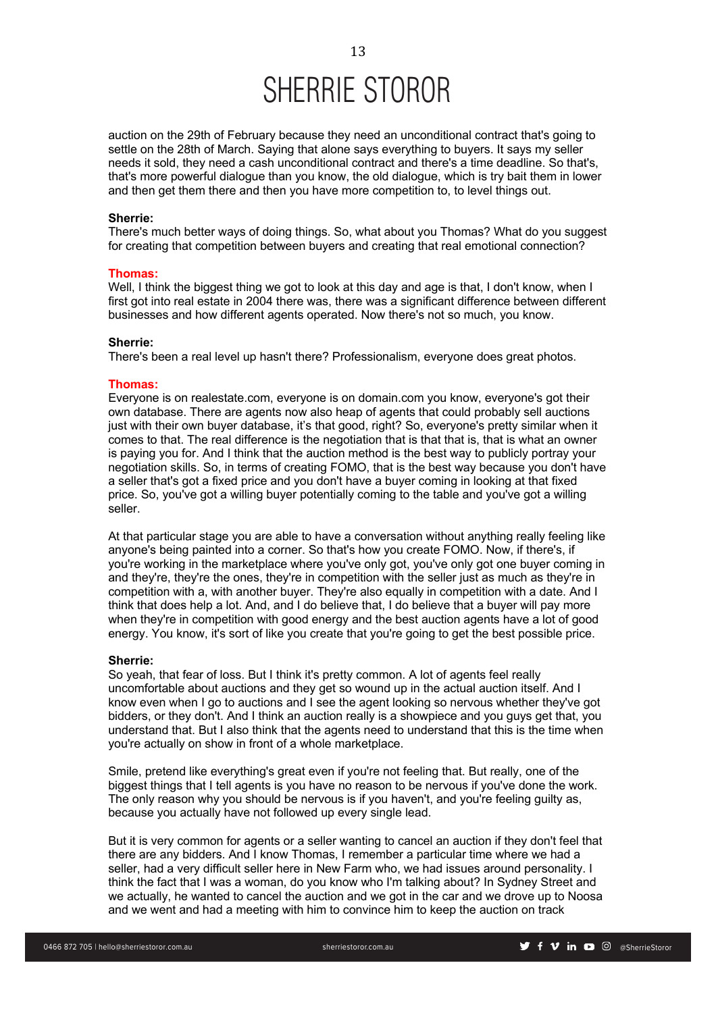auction on the 29th of February because they need an unconditional contract that's going to settle on the 28th of March. Saying that alone says everything to buyers. It says my seller needs it sold, they need a cash unconditional contract and there's a time deadline. So that's, that's more powerful dialogue than you know, the old dialogue, which is try bait them in lower and then get them there and then you have more competition to, to level things out.

### **Sherrie:**

There's much better ways of doing things. So, what about you Thomas? What do you suggest for creating that competition between buyers and creating that real emotional connection?

#### **Thomas:**

Well, I think the biggest thing we got to look at this day and age is that, I don't know, when I first got into real estate in 2004 there was, there was a significant difference between different businesses and how different agents operated. Now there's not so much, you know.

# **Sherrie:**

There's been a real level up hasn't there? Professionalism, everyone does great photos.

### **Thomas:**

Everyone is on realestate.com, everyone is on domain.com you know, everyone's got their own database. There are agents now also heap of agents that could probably sell auctions just with their own buyer database, it's that good, right? So, everyone's pretty similar when it comes to that. The real difference is the negotiation that is that that is, that is what an owner is paying you for. And I think that the auction method is the best way to publicly portray your negotiation skills. So, in terms of creating FOMO, that is the best way because you don't have a seller that's got a fixed price and you don't have a buyer coming in looking at that fixed price. So, you've got a willing buyer potentially coming to the table and you've got a willing seller.

At that particular stage you are able to have a conversation without anything really feeling like anyone's being painted into a corner. So that's how you create FOMO. Now, if there's, if you're working in the marketplace where you've only got, you've only got one buyer coming in and they're, they're the ones, they're in competition with the seller just as much as they're in competition with a, with another buyer. They're also equally in competition with a date. And I think that does help a lot. And, and I do believe that, I do believe that a buyer will pay more when they're in competition with good energy and the best auction agents have a lot of good energy. You know, it's sort of like you create that you're going to get the best possible price.

### **Sherrie:**

So yeah, that fear of loss. But I think it's pretty common. A lot of agents feel really uncomfortable about auctions and they get so wound up in the actual auction itself. And I know even when I go to auctions and I see the agent looking so nervous whether they've got bidders, or they don't. And I think an auction really is a showpiece and you guys get that, you understand that. But I also think that the agents need to understand that this is the time when you're actually on show in front of a whole marketplace.

Smile, pretend like everything's great even if you're not feeling that. But really, one of the biggest things that I tell agents is you have no reason to be nervous if you've done the work. The only reason why you should be nervous is if you haven't, and you're feeling guilty as, because you actually have not followed up every single lead.

But it is very common for agents or a seller wanting to cancel an auction if they don't feel that there are any bidders. And I know Thomas, I remember a particular time where we had a seller, had a very difficult seller here in New Farm who, we had issues around personality. I think the fact that I was a woman, do you know who I'm talking about? In Sydney Street and we actually, he wanted to cancel the auction and we got in the car and we drove up to Noosa and we went and had a meeting with him to convince him to keep the auction on track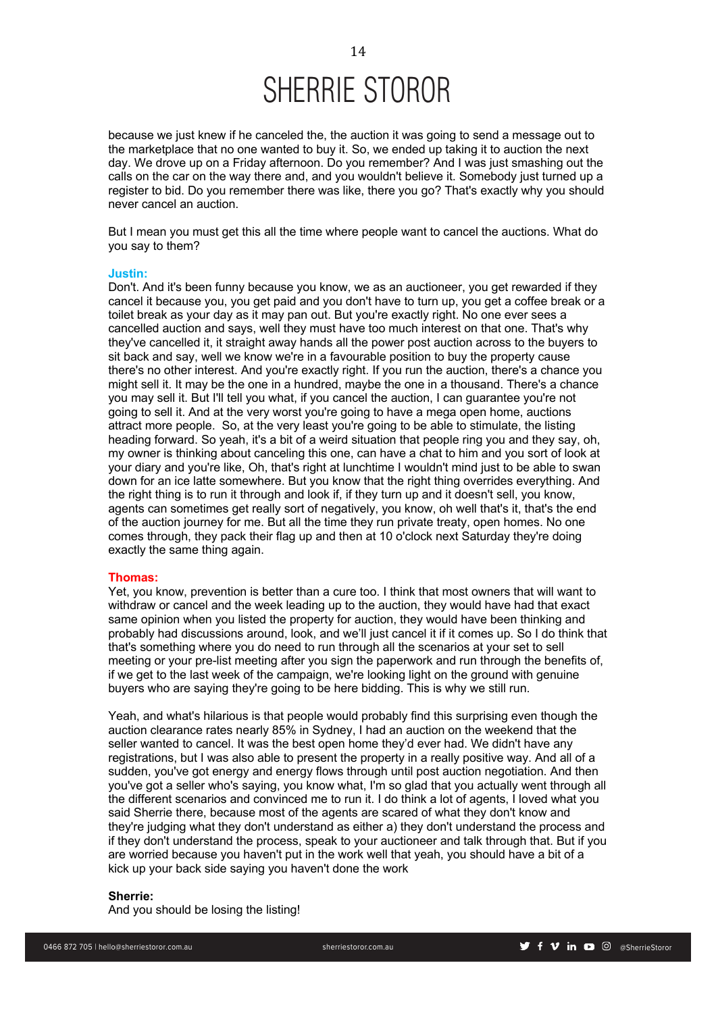because we just knew if he canceled the, the auction it was going to send a message out to the marketplace that no one wanted to buy it. So, we ended up taking it to auction the next day. We drove up on a Friday afternoon. Do you remember? And I was just smashing out the calls on the car on the way there and, and you wouldn't believe it. Somebody just turned up a register to bid. Do you remember there was like, there you go? That's exactly why you should never cancel an auction.

But I mean you must get this all the time where people want to cancel the auctions. What do you say to them?

### **Justin:**

Don't. And it's been funny because you know, we as an auctioneer, you get rewarded if they cancel it because you, you get paid and you don't have to turn up, you get a coffee break or a toilet break as your day as it may pan out. But you're exactly right. No one ever sees a cancelled auction and says, well they must have too much interest on that one. That's why they've cancelled it, it straight away hands all the power post auction across to the buyers to sit back and say, well we know we're in a favourable position to buy the property cause there's no other interest. And you're exactly right. If you run the auction, there's a chance you might sell it. It may be the one in a hundred, maybe the one in a thousand. There's a chance you may sell it. But I'll tell you what, if you cancel the auction, I can guarantee you're not going to sell it. And at the very worst you're going to have a mega open home, auctions attract more people. So, at the very least you're going to be able to stimulate, the listing heading forward. So yeah, it's a bit of a weird situation that people ring you and they say, oh, my owner is thinking about canceling this one, can have a chat to him and you sort of look at your diary and you're like, Oh, that's right at lunchtime I wouldn't mind just to be able to swan down for an ice latte somewhere. But you know that the right thing overrides everything. And the right thing is to run it through and look if, if they turn up and it doesn't sell, you know, agents can sometimes get really sort of negatively, you know, oh well that's it, that's the end of the auction journey for me. But all the time they run private treaty, open homes. No one comes through, they pack their flag up and then at 10 o'clock next Saturday they're doing exactly the same thing again.

# **Thomas:**

Yet, you know, prevention is better than a cure too. I think that most owners that will want to withdraw or cancel and the week leading up to the auction, they would have had that exact same opinion when you listed the property for auction, they would have been thinking and probably had discussions around, look, and we'll just cancel it if it comes up. So I do think that that's something where you do need to run through all the scenarios at your set to sell meeting or your pre-list meeting after you sign the paperwork and run through the benefits of, if we get to the last week of the campaign, we're looking light on the ground with genuine buyers who are saying they're going to be here bidding. This is why we still run.

Yeah, and what's hilarious is that people would probably find this surprising even though the auction clearance rates nearly 85% in Sydney, I had an auction on the weekend that the seller wanted to cancel. It was the best open home they'd ever had. We didn't have any registrations, but I was also able to present the property in a really positive way. And all of a sudden, you've got energy and energy flows through until post auction negotiation. And then you've got a seller who's saying, you know what, I'm so glad that you actually went through all the different scenarios and convinced me to run it. I do think a lot of agents, I loved what you said Sherrie there, because most of the agents are scared of what they don't know and they're judging what they don't understand as either a) they don't understand the process and if they don't understand the process, speak to your auctioneer and talk through that. But if you are worried because you haven't put in the work well that yeah, you should have a bit of a kick up your back side saying you haven't done the work

# **Sherrie:**

And you should be losing the listing!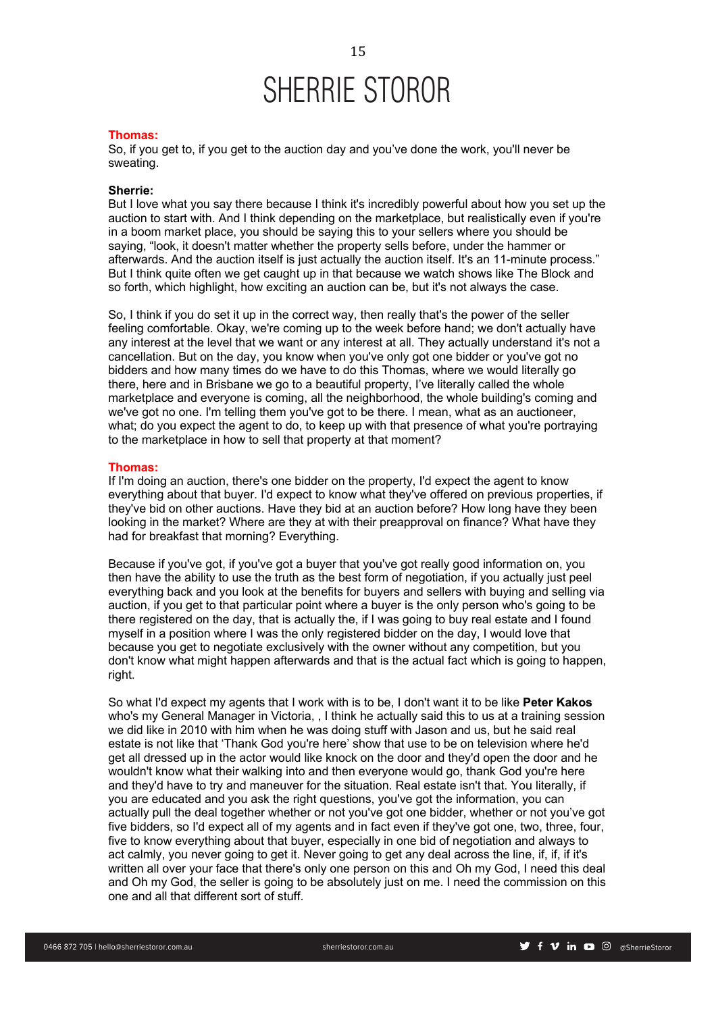### **Thomas:**

So, if you get to, if you get to the auction day and you've done the work, you'll never be sweating.

### **Sherrie:**

But I love what you say there because I think it's incredibly powerful about how you set up the auction to start with. And I think depending on the marketplace, but realistically even if you're in a boom market place, you should be saying this to your sellers where you should be saying, "look, it doesn't matter whether the property sells before, under the hammer or afterwards. And the auction itself is just actually the auction itself. It's an 11-minute process." But I think quite often we get caught up in that because we watch shows like The Block and so forth, which highlight, how exciting an auction can be, but it's not always the case.

So, I think if you do set it up in the correct way, then really that's the power of the seller feeling comfortable. Okay, we're coming up to the week before hand; we don't actually have any interest at the level that we want or any interest at all. They actually understand it's not a cancellation. But on the day, you know when you've only got one bidder or you've got no bidders and how many times do we have to do this Thomas, where we would literally go there, here and in Brisbane we go to a beautiful property, I've literally called the whole marketplace and everyone is coming, all the neighborhood, the whole building's coming and we've got no one. I'm telling them you've got to be there. I mean, what as an auctioneer, what; do you expect the agent to do, to keep up with that presence of what you're portraying to the marketplace in how to sell that property at that moment?

### **Thomas:**

If I'm doing an auction, there's one bidder on the property, I'd expect the agent to know everything about that buyer. I'd expect to know what they've offered on previous properties, if they've bid on other auctions. Have they bid at an auction before? How long have they been looking in the market? Where are they at with their preapproval on finance? What have they had for breakfast that morning? Everything.

Because if you've got, if you've got a buyer that you've got really good information on, you then have the ability to use the truth as the best form of negotiation, if you actually just peel everything back and you look at the benefits for buyers and sellers with buying and selling via auction, if you get to that particular point where a buyer is the only person who's going to be there registered on the day, that is actually the, if I was going to buy real estate and I found myself in a position where I was the only registered bidder on the day, I would love that because you get to negotiate exclusively with the owner without any competition, but you don't know what might happen afterwards and that is the actual fact which is going to happen, right.

So what I'd expect my agents that I work with is to be, I don't want it to be like **Peter Kakos** who's my General Manager in Victoria, , I think he actually said this to us at a training session we did like in 2010 with him when he was doing stuff with Jason and us, but he said real estate is not like that 'Thank God you're here' show that use to be on television where he'd get all dressed up in the actor would like knock on the door and they'd open the door and he wouldn't know what their walking into and then everyone would go, thank God you're here and they'd have to try and maneuver for the situation. Real estate isn't that. You literally, if you are educated and you ask the right questions, you've got the information, you can actually pull the deal together whether or not you've got one bidder, whether or not you've got five bidders, so I'd expect all of my agents and in fact even if they've got one, two, three, four, five to know everything about that buyer, especially in one bid of negotiation and always to act calmly, you never going to get it. Never going to get any deal across the line, if, if, if it's written all over your face that there's only one person on this and Oh my God, I need this deal and Oh my God, the seller is going to be absolutely just on me. I need the commission on this one and all that different sort of stuff.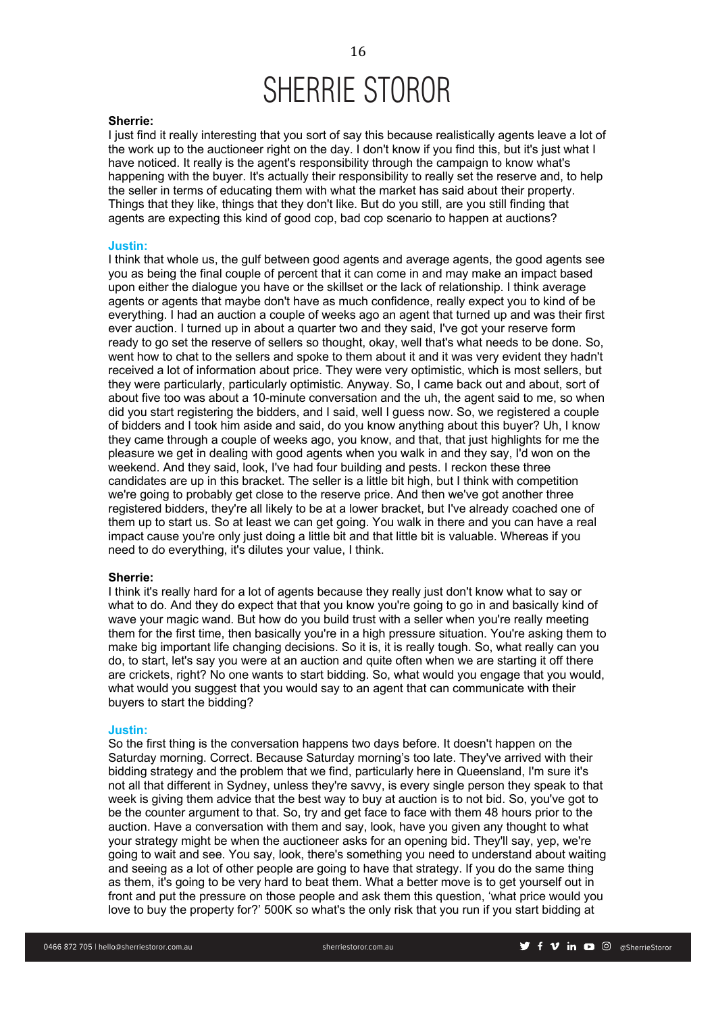### **Sherrie:**

I just find it really interesting that you sort of say this because realistically agents leave a lot of the work up to the auctioneer right on the day. I don't know if you find this, but it's just what I have noticed. It really is the agent's responsibility through the campaign to know what's happening with the buyer. It's actually their responsibility to really set the reserve and, to help the seller in terms of educating them with what the market has said about their property. Things that they like, things that they don't like. But do you still, are you still finding that agents are expecting this kind of good cop, bad cop scenario to happen at auctions?

### **Justin:**

I think that whole us, the gulf between good agents and average agents, the good agents see you as being the final couple of percent that it can come in and may make an impact based upon either the dialogue you have or the skillset or the lack of relationship. I think average agents or agents that maybe don't have as much confidence, really expect you to kind of be everything. I had an auction a couple of weeks ago an agent that turned up and was their first ever auction. I turned up in about a quarter two and they said, I've got your reserve form ready to go set the reserve of sellers so thought, okay, well that's what needs to be done. So, went how to chat to the sellers and spoke to them about it and it was very evident they hadn't received a lot of information about price. They were very optimistic, which is most sellers, but they were particularly, particularly optimistic. Anyway. So, I came back out and about, sort of about five too was about a 10-minute conversation and the uh, the agent said to me, so when did you start registering the bidders, and I said, well I guess now. So, we registered a couple of bidders and I took him aside and said, do you know anything about this buyer? Uh, I know they came through a couple of weeks ago, you know, and that, that just highlights for me the pleasure we get in dealing with good agents when you walk in and they say, I'd won on the weekend. And they said, look, I've had four building and pests. I reckon these three candidates are up in this bracket. The seller is a little bit high, but I think with competition we're going to probably get close to the reserve price. And then we've got another three registered bidders, they're all likely to be at a lower bracket, but I've already coached one of them up to start us. So at least we can get going. You walk in there and you can have a real impact cause you're only just doing a little bit and that little bit is valuable. Whereas if you need to do everything, it's dilutes your value, I think.

### **Sherrie:**

I think it's really hard for a lot of agents because they really just don't know what to say or what to do. And they do expect that that you know you're going to go in and basically kind of wave your magic wand. But how do you build trust with a seller when you're really meeting them for the first time, then basically you're in a high pressure situation. You're asking them to make big important life changing decisions. So it is, it is really tough. So, what really can you do, to start, let's say you were at an auction and quite often when we are starting it off there are crickets, right? No one wants to start bidding. So, what would you engage that you would, what would you suggest that you would say to an agent that can communicate with their buyers to start the bidding?

### **Justin:**

So the first thing is the conversation happens two days before. It doesn't happen on the Saturday morning. Correct. Because Saturday morning's too late. They've arrived with their bidding strategy and the problem that we find, particularly here in Queensland, I'm sure it's not all that different in Sydney, unless they're savvy, is every single person they speak to that week is giving them advice that the best way to buy at auction is to not bid. So, you've got to be the counter argument to that. So, try and get face to face with them 48 hours prior to the auction. Have a conversation with them and say, look, have you given any thought to what your strategy might be when the auctioneer asks for an opening bid. They'll say, yep, we're going to wait and see. You say, look, there's something you need to understand about waiting and seeing as a lot of other people are going to have that strategy. If you do the same thing as them, it's going to be very hard to beat them. What a better move is to get yourself out in front and put the pressure on those people and ask them this question, 'what price would you love to buy the property for?' 500K so what's the only risk that you run if you start bidding at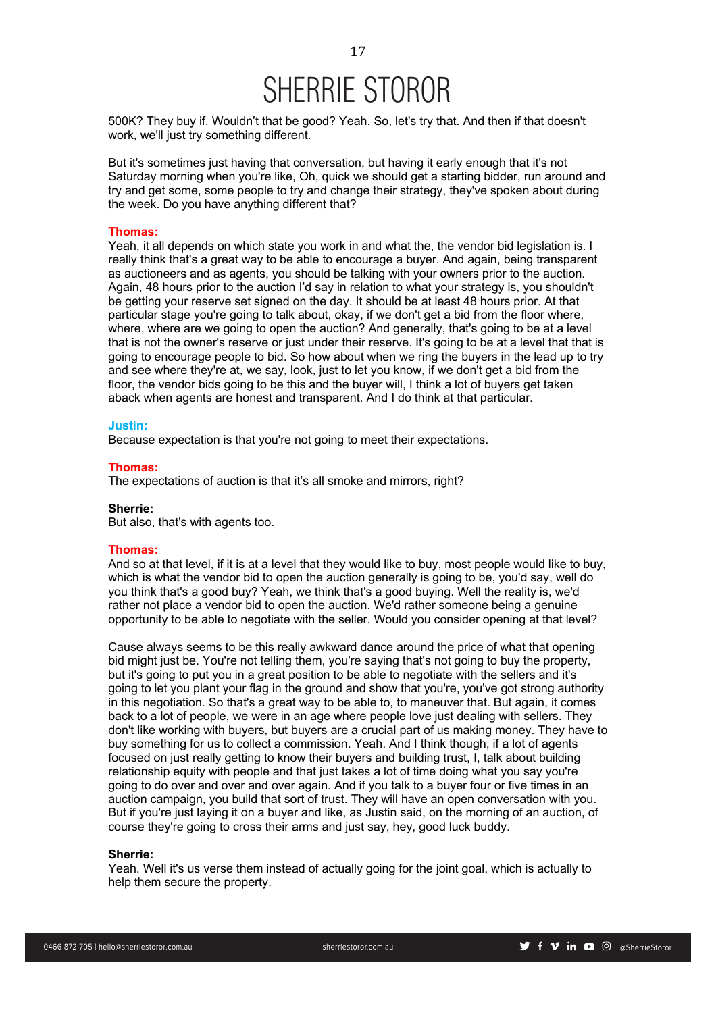500K? They buy if. Wouldn't that be good? Yeah. So, let's try that. And then if that doesn't work, we'll just try something different.

But it's sometimes just having that conversation, but having it early enough that it's not Saturday morning when you're like, Oh, quick we should get a starting bidder, run around and try and get some, some people to try and change their strategy, they've spoken about during the week. Do you have anything different that?

# **Thomas:**

Yeah, it all depends on which state you work in and what the, the vendor bid legislation is. I really think that's a great way to be able to encourage a buyer. And again, being transparent as auctioneers and as agents, you should be talking with your owners prior to the auction. Again, 48 hours prior to the auction I'd say in relation to what your strategy is, you shouldn't be getting your reserve set signed on the day. It should be at least 48 hours prior. At that particular stage you're going to talk about, okay, if we don't get a bid from the floor where, where, where are we going to open the auction? And generally, that's going to be at a level that is not the owner's reserve or just under their reserve. It's going to be at a level that that is going to encourage people to bid. So how about when we ring the buyers in the lead up to try and see where they're at, we say, look, just to let you know, if we don't get a bid from the floor, the vendor bids going to be this and the buyer will, I think a lot of buyers get taken aback when agents are honest and transparent. And I do think at that particular.

### **Justin:**

Because expectation is that you're not going to meet their expectations.

### **Thomas:**

The expectations of auction is that it's all smoke and mirrors, right?

# **Sherrie:**

But also, that's with agents too.

## **Thomas:**

And so at that level, if it is at a level that they would like to buy, most people would like to buy, which is what the vendor bid to open the auction generally is going to be, you'd say, well do you think that's a good buy? Yeah, we think that's a good buying. Well the reality is, we'd rather not place a vendor bid to open the auction. We'd rather someone being a genuine opportunity to be able to negotiate with the seller. Would you consider opening at that level?

Cause always seems to be this really awkward dance around the price of what that opening bid might just be. You're not telling them, you're saying that's not going to buy the property, but it's going to put you in a great position to be able to negotiate with the sellers and it's going to let you plant your flag in the ground and show that you're, you've got strong authority in this negotiation. So that's a great way to be able to, to maneuver that. But again, it comes back to a lot of people, we were in an age where people love just dealing with sellers. They don't like working with buyers, but buyers are a crucial part of us making money. They have to buy something for us to collect a commission. Yeah. And I think though, if a lot of agents focused on just really getting to know their buyers and building trust, I, talk about building relationship equity with people and that just takes a lot of time doing what you say you're going to do over and over and over again. And if you talk to a buyer four or five times in an auction campaign, you build that sort of trust. They will have an open conversation with you. But if you're just laying it on a buyer and like, as Justin said, on the morning of an auction, of course they're going to cross their arms and just say, hey, good luck buddy.

### **Sherrie:**

Yeah. Well it's us verse them instead of actually going for the joint goal, which is actually to help them secure the property.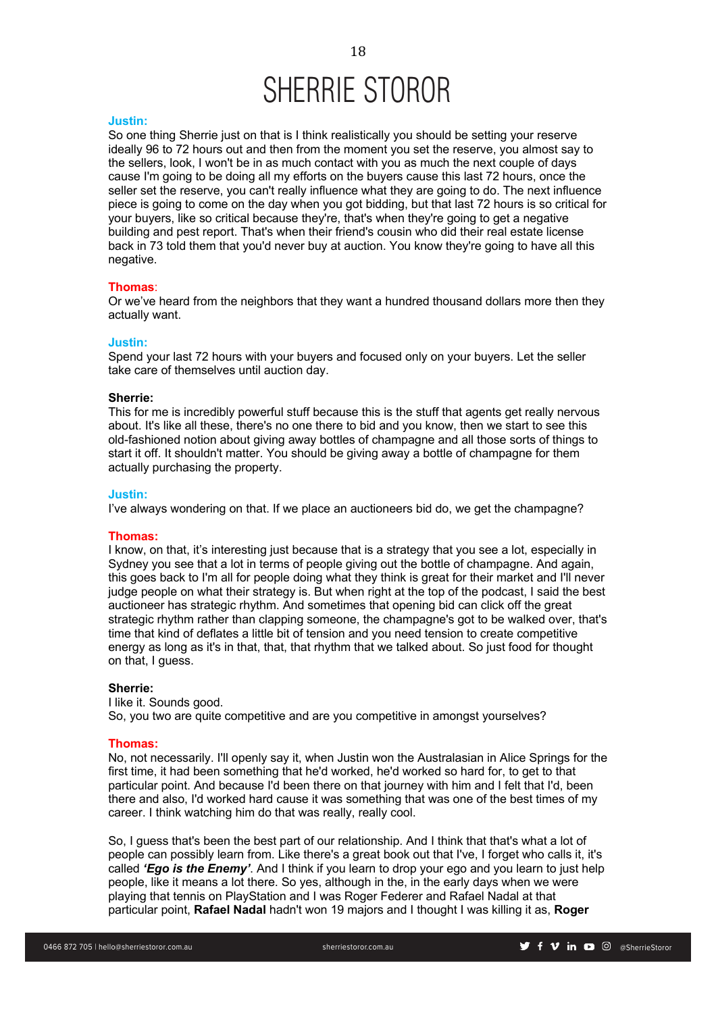### **Justin:**

So one thing Sherrie just on that is I think realistically you should be setting your reserve ideally 96 to 72 hours out and then from the moment you set the reserve, you almost say to the sellers, look, I won't be in as much contact with you as much the next couple of days cause I'm going to be doing all my efforts on the buyers cause this last 72 hours, once the seller set the reserve, you can't really influence what they are going to do. The next influence piece is going to come on the day when you got bidding, but that last 72 hours is so critical for your buyers, like so critical because they're, that's when they're going to get a negative building and pest report. That's when their friend's cousin who did their real estate license back in 73 told them that you'd never buy at auction. You know they're going to have all this negative.

# **Thomas**:

Or we've heard from the neighbors that they want a hundred thousand dollars more then they actually want.

# **Justin:**

Spend your last 72 hours with your buyers and focused only on your buyers. Let the seller take care of themselves until auction day.

#### **Sherrie:**

This for me is incredibly powerful stuff because this is the stuff that agents get really nervous about. It's like all these, there's no one there to bid and you know, then we start to see this old-fashioned notion about giving away bottles of champagne and all those sorts of things to start it off. It shouldn't matter. You should be giving away a bottle of champagne for them actually purchasing the property.

### **Justin:**

I've always wondering on that. If we place an auctioneers bid do, we get the champagne?

# **Thomas:**

I know, on that, it's interesting just because that is a strategy that you see a lot, especially in Sydney you see that a lot in terms of people giving out the bottle of champagne. And again, this goes back to I'm all for people doing what they think is great for their market and I'll never judge people on what their strategy is. But when right at the top of the podcast, I said the best auctioneer has strategic rhythm. And sometimes that opening bid can click off the great strategic rhythm rather than clapping someone, the champagne's got to be walked over, that's time that kind of deflates a little bit of tension and you need tension to create competitive energy as long as it's in that, that, that rhythm that we talked about. So just food for thought on that, I guess.

### **Sherrie:**

I like it. Sounds good. So, you two are quite competitive and are you competitive in amongst yourselves?

### **Thomas:**

No, not necessarily. I'll openly say it, when Justin won the Australasian in Alice Springs for the first time, it had been something that he'd worked, he'd worked so hard for, to get to that particular point. And because I'd been there on that journey with him and I felt that I'd, been there and also, I'd worked hard cause it was something that was one of the best times of my career. I think watching him do that was really, really cool.

So, I guess that's been the best part of our relationship. And I think that that's what a lot of people can possibly learn from. Like there's a great book out that I've, I forget who calls it, it's called *'Ego is the Enemy'*. And I think if you learn to drop your ego and you learn to just help people, like it means a lot there. So yes, although in the, in the early days when we were playing that tennis on PlayStation and I was Roger Federer and Rafael Nadal at that particular point, **Rafael Nadal** hadn't won 19 majors and I thought I was killing it as, **Roger**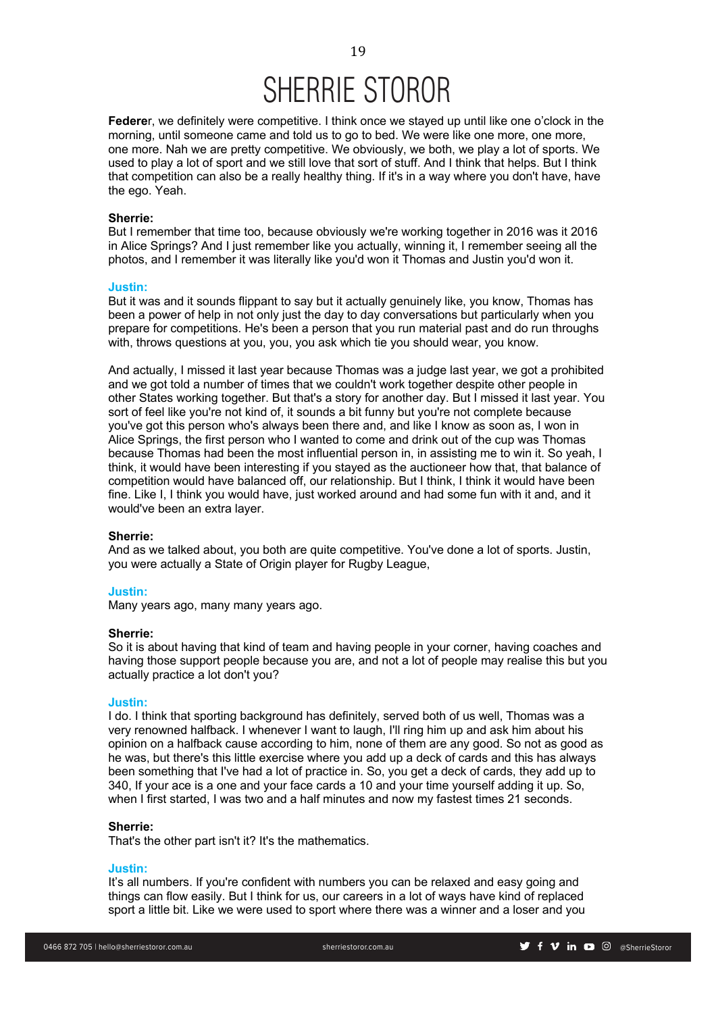**Federe**r, we definitely were competitive. I think once we stayed up until like one o'clock in the morning, until someone came and told us to go to bed. We were like one more, one more, one more. Nah we are pretty competitive. We obviously, we both, we play a lot of sports. We used to play a lot of sport and we still love that sort of stuff. And I think that helps. But I think that competition can also be a really healthy thing. If it's in a way where you don't have, have the ego. Yeah.

### **Sherrie:**

But I remember that time too, because obviously we're working together in 2016 was it 2016 in Alice Springs? And I just remember like you actually, winning it, I remember seeing all the photos, and I remember it was literally like you'd won it Thomas and Justin you'd won it.

### **Justin:**

But it was and it sounds flippant to say but it actually genuinely like, you know, Thomas has been a power of help in not only just the day to day conversations but particularly when you prepare for competitions. He's been a person that you run material past and do run throughs with, throws questions at you, you, you ask which tie you should wear, you know.

And actually, I missed it last year because Thomas was a judge last year, we got a prohibited and we got told a number of times that we couldn't work together despite other people in other States working together. But that's a story for another day. But I missed it last year. You sort of feel like you're not kind of, it sounds a bit funny but you're not complete because you've got this person who's always been there and, and like I know as soon as, I won in Alice Springs, the first person who I wanted to come and drink out of the cup was Thomas because Thomas had been the most influential person in, in assisting me to win it. So yeah, I think, it would have been interesting if you stayed as the auctioneer how that, that balance of competition would have balanced off, our relationship. But I think, I think it would have been fine. Like I, I think you would have, just worked around and had some fun with it and, and it would've been an extra layer.

### **Sherrie:**

And as we talked about, you both are quite competitive. You've done a lot of sports. Justin, you were actually a State of Origin player for Rugby League,

### **Justin:**

Many years ago, many many years ago.

# **Sherrie:**

So it is about having that kind of team and having people in your corner, having coaches and having those support people because you are, and not a lot of people may realise this but you actually practice a lot don't you?

# **Justin:**

I do. I think that sporting background has definitely, served both of us well, Thomas was a very renowned halfback. I whenever I want to laugh, I'll ring him up and ask him about his opinion on a halfback cause according to him, none of them are any good. So not as good as he was, but there's this little exercise where you add up a deck of cards and this has always been something that I've had a lot of practice in. So, you get a deck of cards, they add up to 340, If your ace is a one and your face cards a 10 and your time yourself adding it up. So, when I first started, I was two and a half minutes and now my fastest times 21 seconds.

### **Sherrie:**

That's the other part isn't it? It's the mathematics.

### **Justin:**

It's all numbers. If you're confident with numbers you can be relaxed and easy going and things can flow easily. But I think for us, our careers in a lot of ways have kind of replaced sport a little bit. Like we were used to sport where there was a winner and a loser and you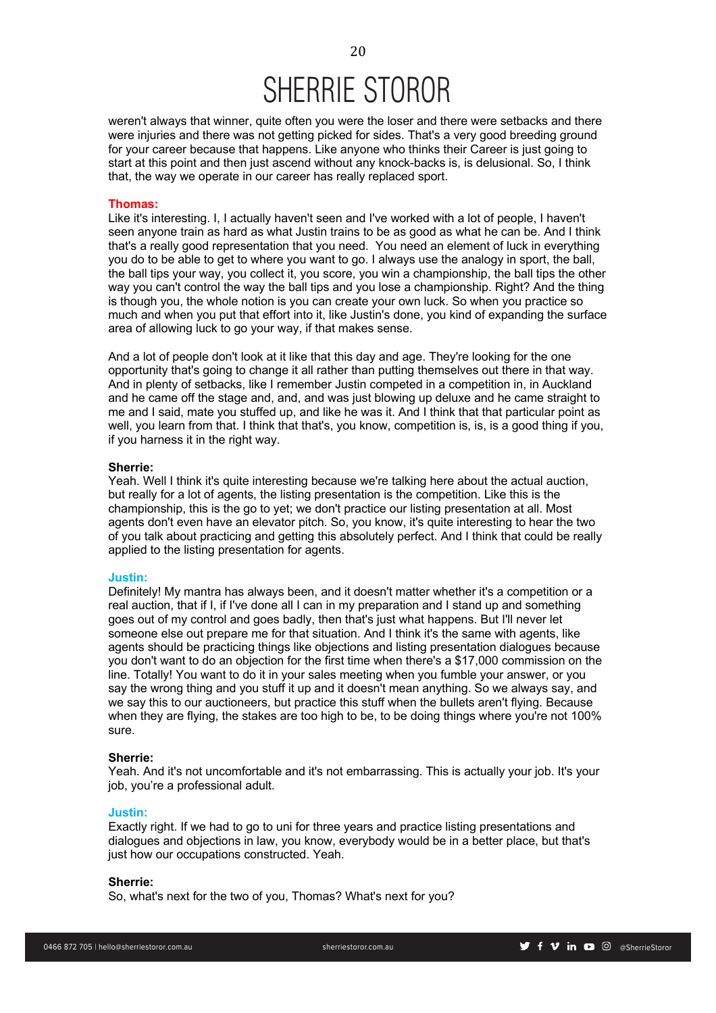weren't always that winner, quite often you were the loser and there were setbacks and there were injuries and there was not getting picked for sides. That's a very good breeding ground for your career because that happens. Like anyone who thinks their Career is just going to start at this point and then just ascend without any knock-backs is, is delusional. So, I think that, the way we operate in our career has really replaced sport.

# **Thomas:**

Like it's interesting. I, I actually haven't seen and I've worked with a lot of people, I haven't seen anyone train as hard as what Justin trains to be as good as what he can be. And I think that's a really good representation that you need. You need an element of luck in everything you do to be able to get to where you want to go. I always use the analogy in sport, the ball, the ball tips your way, you collect it, you score, you win a championship, the ball tips the other way you can't control the way the ball tips and you lose a championship. Right? And the thing is though you, the whole notion is you can create your own luck. So when you practice so much and when you put that effort into it, like Justin's done, you kind of expanding the surface area of allowing luck to go your way, if that makes sense.

And a lot of people don't look at it like that this day and age. They're looking for the one opportunity that's going to change it all rather than putting themselves out there in that way. And in plenty of setbacks, like I remember Justin competed in a competition in, in Auckland and he came off the stage and, and, and was just blowing up deluxe and he came straight to me and I said, mate you stuffed up, and like he was it. And I think that that particular point as well, you learn from that. I think that that's, you know, competition is, is, is a good thing if you, if you harness it in the right way.

# **Sherrie:**

Yeah. Well I think it's quite interesting because we're talking here about the actual auction, but really for a lot of agents, the listing presentation is the competition. Like this is the championship, this is the go to yet; we don't practice our listing presentation at all. Most agents don't even have an elevator pitch. So, you know, it's quite interesting to hear the two of you talk about practicing and getting this absolutely perfect. And I think that could be really applied to the listing presentation for agents.

### **Justin:**

Definitely! My mantra has always been, and it doesn't matter whether it's a competition or a real auction, that if I, if I've done all I can in my preparation and I stand up and something goes out of my control and goes badly, then that's just what happens. But I'll never let someone else out prepare me for that situation. And I think it's the same with agents, like agents should be practicing things like objections and listing presentation dialogues because you don't want to do an objection for the first time when there's a \$17,000 commission on the line. Totally! You want to do it in your sales meeting when you fumble your answer, or you say the wrong thing and you stuff it up and it doesn't mean anything. So we always say, and we say this to our auctioneers, but practice this stuff when the bullets aren't flying. Because when they are flying, the stakes are too high to be, to be doing things where you're not 100% sure.

### **Sherrie:**

Yeah. And it's not uncomfortable and it's not embarrassing. This is actually your job. It's your job, you're a professional adult.

### **Justin:**

Exactly right. If we had to go to uni for three years and practice listing presentations and dialogues and objections in law, you know, everybody would be in a better place, but that's just how our occupations constructed. Yeah.

### **Sherrie:**

So, what's next for the two of you, Thomas? What's next for you?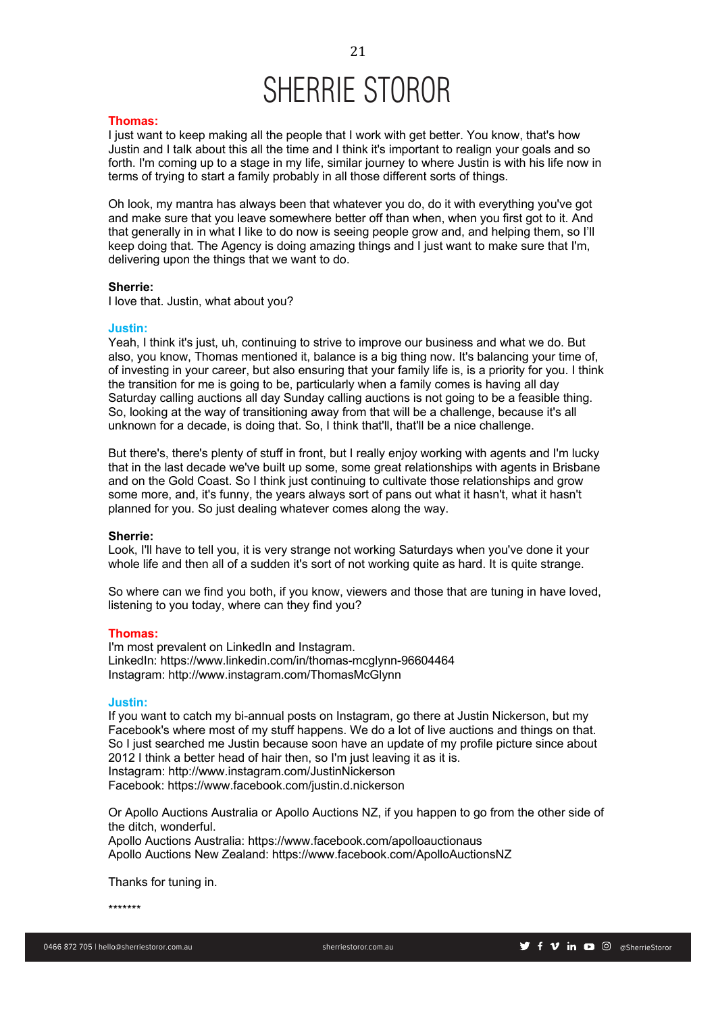### **Thomas:**

I just want to keep making all the people that I work with get better. You know, that's how Justin and I talk about this all the time and I think it's important to realign your goals and so forth. I'm coming up to a stage in my life, similar journey to where Justin is with his life now in terms of trying to start a family probably in all those different sorts of things.

Oh look, my mantra has always been that whatever you do, do it with everything you've got and make sure that you leave somewhere better off than when, when you first got to it. And that generally in in what I like to do now is seeing people grow and, and helping them, so I'll keep doing that. The Agency is doing amazing things and I just want to make sure that I'm, delivering upon the things that we want to do.

### **Sherrie:**

I love that. Justin, what about you?

### **Justin:**

Yeah, I think it's just, uh, continuing to strive to improve our business and what we do. But also, you know, Thomas mentioned it, balance is a big thing now. It's balancing your time of, of investing in your career, but also ensuring that your family life is, is a priority for you. I think the transition for me is going to be, particularly when a family comes is having all day Saturday calling auctions all day Sunday calling auctions is not going to be a feasible thing. So, looking at the way of transitioning away from that will be a challenge, because it's all unknown for a decade, is doing that. So, I think that'll, that'll be a nice challenge.

But there's, there's plenty of stuff in front, but I really enjoy working with agents and I'm lucky that in the last decade we've built up some, some great relationships with agents in Brisbane and on the Gold Coast. So I think just continuing to cultivate those relationships and grow some more, and, it's funny, the years always sort of pans out what it hasn't, what it hasn't planned for you. So just dealing whatever comes along the way.

### **Sherrie:**

Look, I'll have to tell you, it is very strange not working Saturdays when you've done it your whole life and then all of a sudden it's sort of not working quite as hard. It is quite strange.

So where can we find you both, if you know, viewers and those that are tuning in have loved, listening to you today, where can they find you?

# **Thomas:**

I'm most prevalent on LinkedIn and Instagram. LinkedIn: https://www.linkedin.com/in/thomas-mcglynn-96604464 Instagram: http://www.instagram.com/ThomasMcGlynn

# **Justin:**

If you want to catch my bi-annual posts on Instagram, go there at Justin Nickerson, but my Facebook's where most of my stuff happens. We do a lot of live auctions and things on that. So I just searched me Justin because soon have an update of my profile picture since about 2012 I think a better head of hair then, so I'm just leaving it as it is. Instagram: http://www.instagram.com/JustinNickerson Facebook: https://www.facebook.com/justin.d.nickerson

Or Apollo Auctions Australia or Apollo Auctions NZ, if you happen to go from the other side of the ditch, wonderful.

Apollo Auctions Australia: https://www.facebook.com/apolloauctionaus Apollo Auctions New Zealand: https://www.facebook.com/ApolloAuctionsNZ

Thanks for tuning in.

\*\*\*\*\*\*\*